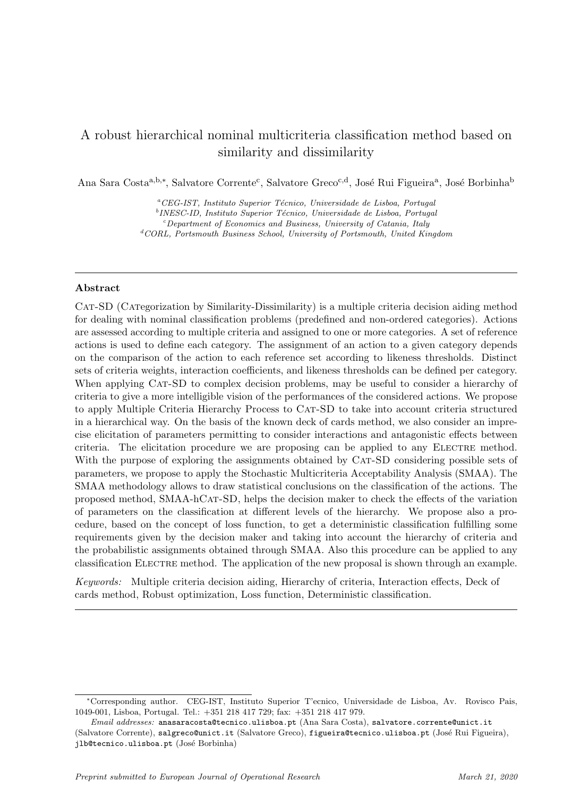# A robust hierarchical nominal multicriteria classification method based on similarity and dissimilarity

Ana Sara Costa<sup>a, b,∗</sup>, Salvatore Corrente<sup>c</sup>, Salvatore Greco<sup>c,d</sup>, José Rui Figueira<sup>a</sup>, José Borbinha<sup>b</sup>

 ${}^aCEG-IST$ , Instituto Superior Técnico, Universidade de Lisboa, Portugal <sup>b</sup>INESC-ID, Instituto Superior Técnico, Universidade de Lisboa, Portugal  $c$ -Department of Economics and Business, University of Catania, Italy  ${}^dCORL$ , Portsmouth Business School, University of Portsmouth, United Kingdom

### Abstract

Cat-SD (Categorization by Similarity-Dissimilarity) is a multiple criteria decision aiding method for dealing with nominal classification problems (predefined and non-ordered categories). Actions are assessed according to multiple criteria and assigned to one or more categories. A set of reference actions is used to define each category. The assignment of an action to a given category depends on the comparison of the action to each reference set according to likeness thresholds. Distinct sets of criteria weights, interaction coefficients, and likeness thresholds can be defined per category. When applying CAT-SD to complex decision problems, may be useful to consider a hierarchy of criteria to give a more intelligible vision of the performances of the considered actions. We propose to apply Multiple Criteria Hierarchy Process to Cat-SD to take into account criteria structured in a hierarchical way. On the basis of the known deck of cards method, we also consider an imprecise elicitation of parameters permitting to consider interactions and antagonistic effects between criteria. The elicitation procedure we are proposing can be applied to any ELECTRE method. With the purpose of exploring the assignments obtained by CAT-SD considering possible sets of parameters, we propose to apply the Stochastic Multicriteria Acceptability Analysis (SMAA). The SMAA methodology allows to draw statistical conclusions on the classification of the actions. The proposed method, SMAA-hCat-SD, helps the decision maker to check the effects of the variation of parameters on the classification at different levels of the hierarchy. We propose also a procedure, based on the concept of loss function, to get a deterministic classification fulfilling some requirements given by the decision maker and taking into account the hierarchy of criteria and the probabilistic assignments obtained through SMAA. Also this procedure can be applied to any classification ELECTRE method. The application of the new proposal is shown through an example.

Keywords: Multiple criteria decision aiding, Hierarchy of criteria, Interaction effects, Deck of cards method, Robust optimization, Loss function, Deterministic classification.

<sup>∗</sup>Corresponding author. CEG-IST, Instituto Superior T'ecnico, Universidade de Lisboa, Av. Rovisco Pais, 1049-001, Lisboa, Portugal. Tel.: +351 218 417 729; fax: +351 218 417 979.

Email addresses: anasaracosta@tecnico.ulisboa.pt (Ana Sara Costa), salvatore.corrente@unict.it (Salvatore Corrente), salgreco@unict.it (Salvatore Greco), figueira@tecnico.ulisboa.pt (José Rui Figueira), jlb@tecnico.ulisboa.pt (José Borbinha)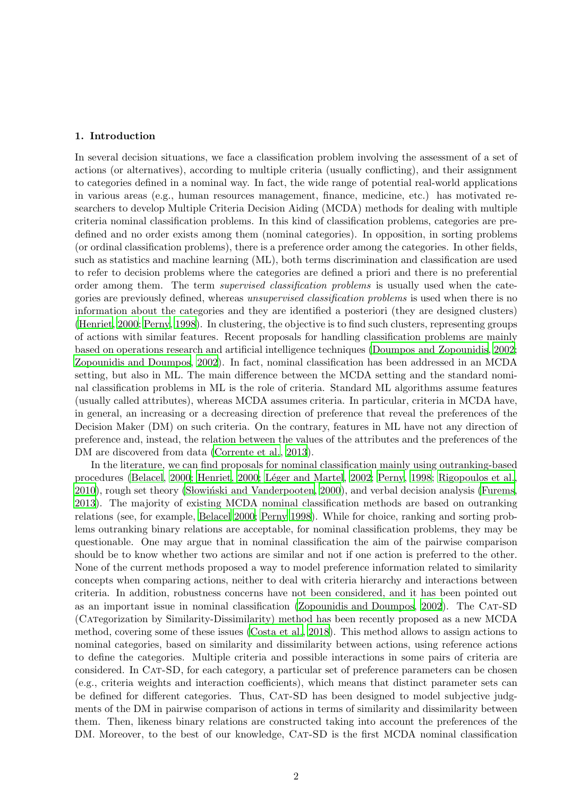# 1. Introduction

In several decision situations, we face a classification problem involving the assessment of a set of actions (or alternatives), according to multiple criteria (usually conflicting), and their assignment to categories defined in a nominal way. In fact, the wide range of potential real-world applications in various areas (e.g., human resources management, finance, medicine, etc.) has motivated researchers to develop Multiple Criteria Decision Aiding (MCDA) methods for dealing with multiple criteria nominal classification problems. In this kind of classification problems, categories are predefined and no order exists among them (nominal categories). In opposition, in sorting problems (or ordinal classification problems), there is a preference order among the categories. In other fields, such as statistics and machine learning (ML), both terms discrimination and classification are used to refer to decision problems where the categories are defined a priori and there is no preferential order among them. The term *supervised classification problems* is usually used when the categories are previously defined, whereas unsupervised classification problems is used when there is no information about the categories and they are identified a posteriori (they are designed clusters) [\(Henriet, 2000](#page-29-0); [Perny, 1998](#page-30-0)). In clustering, the objective is to find such clusters, representing groups of actions with similar features. Recent proposals for handling classification problems are mainly based on operations research and artificial intelligence techniques [\(Doumpos and Zopounidis, 2002;](#page-29-1) [Zopounidis and Doumpos](#page-31-0), [2002](#page-31-0)). In fact, nominal classification has been addressed in an MCDA setting, but also in ML. The main difference between the MCDA setting and the standard nominal classification problems in ML is the role of criteria. Standard ML algorithms assume features (usually called attributes), whereas MCDA assumes criteria. In particular, criteria in MCDA have, in general, an increasing or a decreasing direction of preference that reveal the preferences of the Decision Maker (DM) on such criteria. On the contrary, features in ML have not any direction of preference and, instead, the relation between the values of the attributes and the preferences of the DM are discovered from data [\(Corrente et al.](#page-29-2), [2013\)](#page-29-2).

In the literature, we can find proposals for nominal classification mainly using outranking-based procedures [\(Belacel, 2000;](#page-28-0) [Henriet](#page-29-0), [2000](#page-29-0); Léger and Martel, [2002](#page-30-1); [Perny](#page-30-0), [1998](#page-30-0); [Rigopoulos et al.,](#page-30-2) [2010\)](#page-30-2), rough set theory (Slowinski and Vanderpooten, [2000](#page-31-1)), and verbal decision analysis [\(Furems,](#page-29-3) [2013\)](#page-29-3). The majority of existing MCDA nominal classification methods are based on outranking relations (see, for example, [Belacel 2000](#page-28-0); [Perny 1998\)](#page-30-0). While for choice, ranking and sorting problems outranking binary relations are acceptable, for nominal classification problems, they may be questionable. One may argue that in nominal classification the aim of the pairwise comparison should be to know whether two actions are similar and not if one action is preferred to the other. None of the current methods proposed a way to model preference information related to similarity concepts when comparing actions, neither to deal with criteria hierarchy and interactions between criteria. In addition, robustness concerns have not been considered, and it has been pointed out as an important issue in nominal classification (Zopounidis [and Doumpos, 2002](#page-31-0)). The Cat-SD (Categorization by Similarity-Dissimilarity) method has been recently proposed as a new MCDA method, covering some of these issues [\(Costa et al., 2018\)](#page-29-4). This method allows to assign actions to nominal categories, based on similarity and dissimilarity between actions, using reference actions to define the categories. Multiple criteria and possible interactions in some pairs of criteria are considered. In CAT-SD, for each category, a particular set of preference parameters can be chosen (e.g., criteria weights and interaction coefficients), which means that distinct parameter sets can be defined for different categories. Thus, CAT-SD has been designed to model subjective judgments of the DM in pairwise comparison of actions in terms of similarity and dissimilarity between them. Then, likeness binary relations are constructed taking into account the preferences of the DM. Moreover, to the best of our knowledge, CAT-SD is the first MCDA nominal classification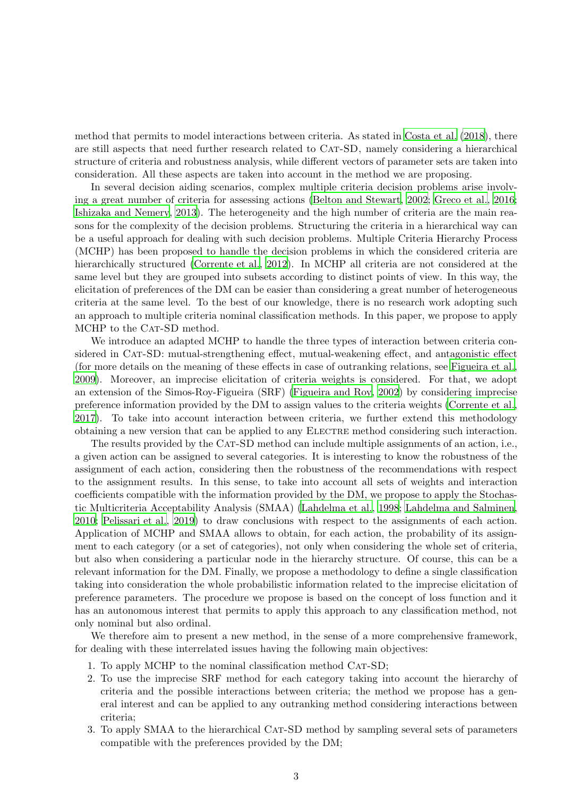method that permits to model interactions between criteria. As stated in [Costa et al. \(2018](#page-29-4)), there are still aspects that need further research related to CAT-SD, namely considering a hierarchical structure of criteria and robustness analysis, while different vectors of parameter sets are taken into consideration. All these aspects are taken into account in the method we are proposing.

In several decision aiding scenarios, complex multiple criteria decision problems arise involving a great number of criteria for assessing actions (Belton [and Stewart](#page-28-1), [2002](#page-28-1); [Greco et al., 2016;](#page-29-5) [Ishizaka and Nemery](#page-30-3), [2013\)](#page-30-3). The heterogeneity and the high number of criteria are the main reasons for the complexity of the decision problems. Structuring the criteria in a hierarchical way can be a useful approach for dealing with such decision problems. Multiple Criteria Hierarchy Process (MCHP) has been proposed to handle the decision problems in which the considered criteria are hierarchically structured [\(Corrente et al.](#page-29-6), [2012\)](#page-29-6). In MCHP all criteria are not considered at the same level but they are grouped into subsets according to distinct points of view. In this way, the elicitation of preferences of the DM can be easier than considering a great number of heterogeneous criteria at the same level. To the best of our knowledge, there is no research work adopting such an approach to multiple criteria nominal classification methods. In this paper, we propose to apply MCHP to the CAT-SD method.

We introduce an adapted MCHP to handle the three types of interaction between criteria considered in CAT-SD: mutual-strengthening effect, mutual-weakening effect, and antagonistic effect (for more details on the meaning of these effects in case of outranking relations, see [Figueira et al.,](#page-29-7) [2009\)](#page-29-7). Moreover, an imprecise elicitation of criteria weights is considered. For that, we adopt an extension of the Simos-Roy-Figueira (SRF) [\(Figueira and](#page-29-8) Roy, [2002\)](#page-29-8) by considering imprecise preference information provided by the DM to assign values to the criteria weights [\(Corrente et al.,](#page-29-9) [2017\)](#page-29-9). To take into account interaction between criteria, we further extend this methodology obtaining a new version that can be applied to any Electre method considering such interaction.

The results provided by the CAT-SD method can include multiple assignments of an action, i.e., a given action can be assigned to several categories. It is interesting to know the robustness of the assignment of each action, considering then the robustness of the recommendations with respect to the assignment results. In this sense, to take into account all sets of weights and interaction coefficients compatible with the information provided by the DM, we propose to apply the Stochastic Multicriteria Acceptability Analysis (SMAA) [\(Lahdelma et al.](#page-30-4), [1998;](#page-30-4) [Lahdelma and Salminen,](#page-30-5) [2010;](#page-30-5) [Pelissari et al., 2019\)](#page-30-6) to draw conclusions with respect to the assignments of each action. Application of MCHP and SMAA allows to obtain, for each action, the probability of its assignment to each category (or a set of categories), not only when considering the whole set of criteria, but also when considering a particular node in the hierarchy structure. Of course, this can be a relevant information for the DM. Finally, we propose a methodology to define a single classification taking into consideration the whole probabilistic information related to the imprecise elicitation of preference parameters. The procedure we propose is based on the concept of loss function and it has an autonomous interest that permits to apply this approach to any classification method, not only nominal but also ordinal.

We therefore aim to present a new method, in the sense of a more comprehensive framework, for dealing with these interrelated issues having the following main objectives:

- 1. To apply MCHP to the nominal classification method CAT-SD;
- 2. To use the imprecise SRF method for each category taking into account the hierarchy of criteria and the possible interactions between criteria; the method we propose has a general interest and can be applied to any outranking method considering interactions between criteria;
- 3. To apply SMAA to the hierarchical CAT-SD method by sampling several sets of parameters compatible with the preferences provided by the DM;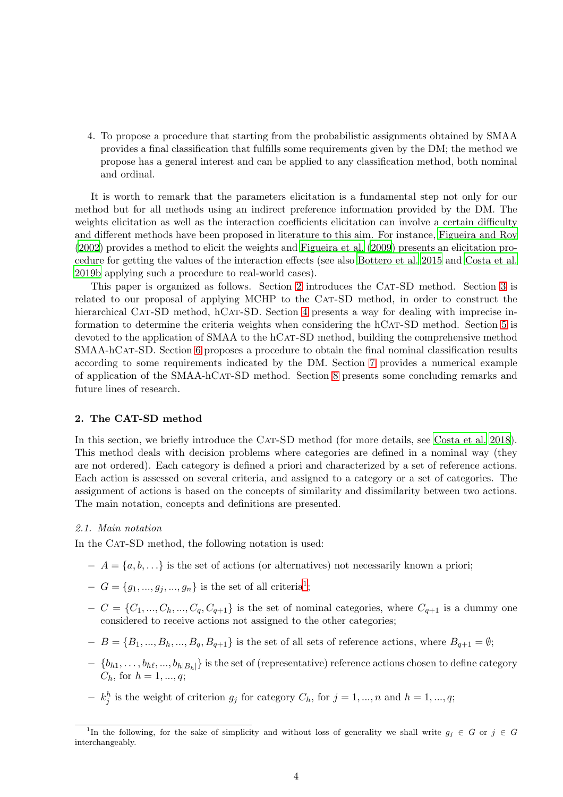4. To propose a procedure that starting from the probabilistic assignments obtained by SMAA provides a final classification that fulfills some requirements given by the DM; the method we propose has a general interest and can be applied to any classification method, both nominal and ordinal.

It is worth to remark that the parameters elicitation is a fundamental step not only for our method but for all methods using an indirect preference information provided by the DM. The weights elicitation as well as the interaction coefficients elicitation can involve a certain difficulty and different methods have been proposed in literature to this aim. For instance, [Figueira and Roy](#page-29-8) [\(2002](#page-29-8)) provides a method to elicit the weights and [Figueira et al. \(2009\)](#page-29-7) presents an elicitation procedure for getting the values of the interaction effects (see also [Bottero et al. 2015](#page-28-2) and [Costa et al.](#page-29-10) [2019b](#page-29-10) applying such a procedure to real-world cases).

This paper is organized as follows. Section [2](#page-3-0) introduces the CAT-SD method. Section [3](#page-7-0) is related to our proposal of applying MCHP to the CAT-SD method, in order to construct the hierarchical CAT-SD method, hCAT-SD. Section [4](#page-9-0) presents a way for dealing with imprecise in-formation to determine the criteria weights when considering the hCAT-SD method. Section [5](#page-17-0) is devoted to the application of SMAA to the hCAT-SD method, building the comprehensive method SMAA-hCat-SD. Section [6](#page-17-1) proposes a procedure to obtain the final nominal classification results according to some requirements indicated by the DM. Section [7](#page-21-0) provides a numerical example of application of the SMAA-hCat-SD method. Section [8](#page-27-0) presents some concluding remarks and future lines of research.

# <span id="page-3-0"></span>2. The CAT-SD method

In this section, we briefly introduce the CAT-SD method (for more details, see [Costa et al. 2018\)](#page-29-4). This method deals with decision problems where categories are defined in a nominal way (they are not ordered). Each category is defined a priori and characterized by a set of reference actions. Each action is assessed on several criteria, and assigned to a category or a set of categories. The assignment of actions is based on the concepts of similarity and dissimilarity between two actions. The main notation, concepts and definitions are presented.

#### 2.1. Main notation

In the CAT-SD method, the following notation is used:

- $-A = \{a, b, \ldots\}$  is the set of actions (or alternatives) not necessarily known a priori;
- $-G = \{g_1, ..., g_j, ..., g_n\}$  $-G = \{g_1, ..., g_j, ..., g_n\}$  $-G = \{g_1, ..., g_j, ..., g_n\}$  is the set of all criteria<sup>1</sup>;
- $-C = \{C_1, ..., C_h, ..., C_q, C_{q+1}\}\$ is the set of nominal categories, where  $C_{q+1}$  is a dummy one considered to receive actions not assigned to the other categories;
- $-B = \{B_1, ..., B_h, ..., B_q, B_{q+1}\}\$ is the set of all sets of reference actions, where  $B_{q+1} = \emptyset$ ;
- $\{b_{h1}, \ldots, b_{h\ell}, \ldots, b_{h|B_h|}\}\$ is the set of (representative) reference actions chosen to define category  $C_h$ , for  $h = 1, ..., q$ ;
- $-k_j^h$  is the weight of criterion  $g_j$  for category  $C_h$ , for  $j = 1, ..., n$  and  $h = 1, ..., q$ ;

<span id="page-3-1"></span><sup>&</sup>lt;sup>1</sup>In the following, for the sake of simplicity and without loss of generality we shall write  $g_j \in G$  or  $j \in G$ interchangeably.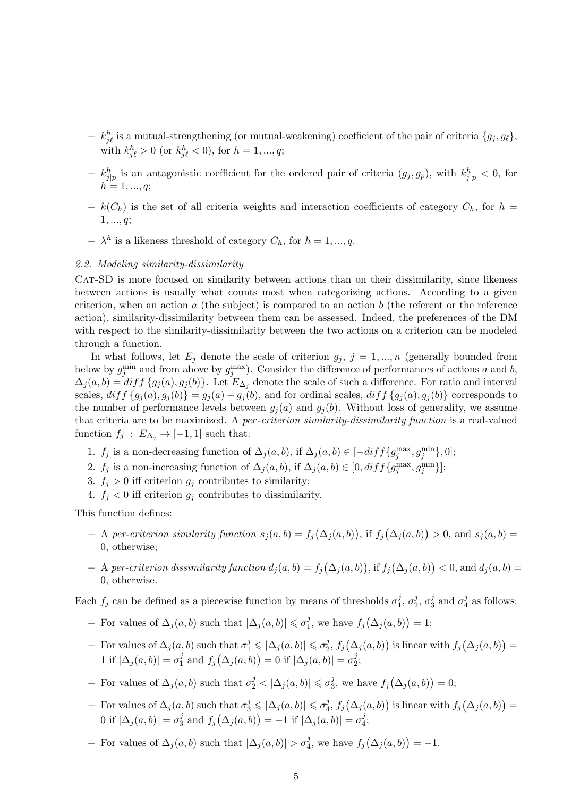- $k_{j\ell}^h$  is a mutual-strengthening (or mutual-weakening) coefficient of the pair of criteria  $\{g_j, g_\ell\},$ with  $k_{j\ell}^h > 0$  (or  $k_{j\ell}^h < 0$ ), for  $h = 1, ..., q$ ;
- $-k_{j|p}^h$  is an antagonistic coefficient for the ordered pair of criteria  $(g_j, g_p)$ , with  $k_{j|p}^h < 0$ , for  $h = 1, ..., q;$
- $k(C_h)$  is the set of all criteria weights and interaction coefficients of category  $C_h$ , for  $h =$  $1, ..., q;$
- $\lambda^h$  is a likeness threshold of category  $C_h$ , for  $h = 1, ..., q$ .

# 2.2. Modeling similarity-dissimilarity

CAT-SD is more focused on similarity between actions than on their dissimilarity, since likeness between actions is usually what counts most when categorizing actions. According to a given criterion, when an action  $a$  (the subject) is compared to an action  $b$  (the referent or the reference action), similarity-dissimilarity between them can be assessed. Indeed, the preferences of the DM with respect to the similarity-dissimilarity between the two actions on a criterion can be modeled through a function.

In what follows, let  $E_j$  denote the scale of criterion  $g_j$ ,  $j = 1, ..., n$  (generally bounded from below by  $g_j^{\min}$  and from above by  $g_j^{\max}$ ). Consider the difference of performances of actions a and b,  $\Delta_j(a, b) = diff\{g_j(a), g_j(b)\}\.$  Let  $E_{\Delta_j}$  denote the scale of such a difference. For ratio and interval scales,  $diff\{g_i(a), g_i(b)\}=g_i(a)-g_i(b)$ , and for ordinal scales,  $diff\{g_i(a), g_i(b)\}$  corresponds to the number of performance levels between  $g_i(a)$  and  $g_i(b)$ . Without loss of generality, we assume that criteria are to be maximized. A per-criterion similarity-dissimilarity function is a real-valued function  $f_i$  :  $E_{\Delta_i} \rightarrow [-1, 1]$  such that:

- 1.  $f_j$  is a non-decreasing function of  $\Delta_j(a, b)$ , if  $\Delta_j(a, b) \in [-diff\{g_j^{\max}, g_j^{\min}\}, 0]$ ;
- 2.  $f_j$  is a non-increasing function of  $\Delta_j(a, b)$ , if  $\Delta_j(a, b) \in [0, diff\{g_j^{\max}, g_j^{\min}\}]$ ;
- 3.  $f_i > 0$  iff criterion  $g_i$  contributes to similarity;
- 4.  $f_i < 0$  iff criterion  $g_i$  contributes to dissimilarity.

This function defines:

- $A$  per-criterion similarity function  $s_j(a,b) = f_j(\Delta_j(a,b))$ , if  $f_j(\Delta_j(a,b)) > 0$ , and  $s_j(a,b) =$ 0, otherwise;
- $A$  per-criterion dissimilarity function  $d_j(a, b) = f_j(\Delta_j(a, b))$ , if  $f_j(\Delta_j(a, b)) < 0$ , and  $d_j(a, b) =$ 0, otherwise.

Each  $f_j$  can be defined as a piecewise function by means of thresholds  $\sigma_1^j$  $\frac{j}{1}, \sigma_2^j$  $\frac{j}{2}, \, \sigma_3^j$  $\frac{j}{3}$  and  $\sigma_4^j$  $\frac{J}{4}$  as follows:

- − For values of  $\Delta_j(a, b)$  such that  $|\Delta_j(a, b)| \leq \sigma_1^j$ <sup>*j*</sup>, we have  $f_j(\Delta_j(a,b)) = 1$ ;
- $-$  For values of  $\Delta_j(a, b)$  such that  $\sigma_1^j$  ≤  $|\Delta_j(a, b)|$  ≤  $\sigma_2^j$  $\mathcal{L}_2^j$ ,  $f_j(\Delta_j(a, b))$  is linear with  $f_j(\Delta_j(a, b)) =$ 1 if  $|\Delta_j(a, b)| = \sigma_1^j$  $j\choose 1$  and  $f_j(\Delta_j(a,b)) = 0$  if  $|\Delta_j(a,b)| = \sigma_2^j$  $\frac{j}{2}$ ;
- − For values of  $\Delta_j(a, b)$  such that  $\sigma_2^j < |\Delta_j(a, b)| \leqslant \sigma_3^j$ <sup>*j*</sup>, we have  $f_j(\Delta_j(a, b)) = 0;$
- $-$  For values of  $\Delta_j(a, b)$  such that  $\sigma_3^j$  ≤  $|\Delta_j(a, b)|$  ≤  $\sigma_4^j$  $\mathcal{L}_4^j, f_j(\Delta_j(a, b))$  is linear with  $f_j(\Delta_j(a, b)) =$ 0 if  $|\Delta_j(a,b)| = \sigma_3^j$  $\frac{j}{3}$  and  $f_j(\Delta_j(a, b)) = -1$  if  $|\Delta_j(a, b)| = \sigma_4^j$  $\frac{J}{4}$ ;
- $-$  For values of  $\Delta_j(a, b)$  such that  $|\Delta_j(a, b)| > \sigma_4^j$ , we have  $f_j(\Delta_j(a, b)) = -1$ .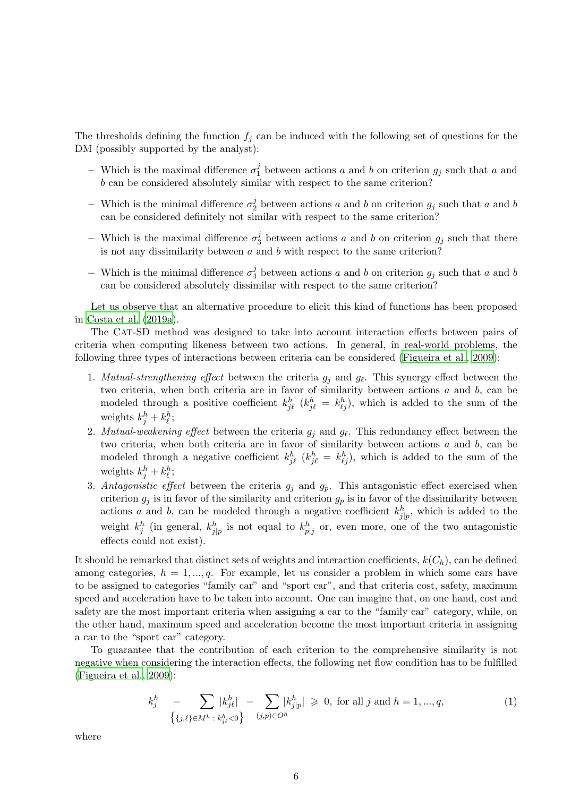The thresholds defining the function  $f_j$  can be induced with the following set of questions for the DM (possibly supported by the analyst):

- − Which is the maximal difference  $\sigma_1^j$ <sup>1</sup> between actions a and b on criterion  $g_j$  such that a and b can be considered absolutely similar with respect to the same criterion?
- $-$  Which is the minimal difference  $\sigma_2^j$ <sup>2</sup> between actions a and b on criterion  $g_j$  such that a and b can be considered definitely not similar with respect to the same criterion?
- Which is the maximal difference  $\sigma_3^j$ <sup>3</sup>/<sub>3</sub> between actions *a* and *b* on criterion  $g_j$  such that there is not any dissimilarity between  $a$  and  $b$  with respect to the same criterion?
- − Which is the minimal difference  $\sigma_4^j$  $\frac{J}{4}$  between actions a and b on criterion  $g_j$  such that a and b can be considered absolutely dissimilar with respect to the same criterion?

Let us observe that an alternative procedure to elicit this kind of functions has been proposed in [Costa et al. \(2019a](#page-29-11)).

The CAT-SD method was designed to take into account interaction effects between pairs of criteria when computing likeness between two actions. In general, in real-world problems, the following three types of interactions between criteria can be considered [\(Figueira et al., 2009](#page-29-7)):

- 1. Mutual-strengthening effect between the criteria  $g_j$  and  $g_\ell$ . This synergy effect between the two criteria, when both criteria are in favor of similarity between actions a and b, can be modeled through a positive coefficient  $k_{j\ell}^h$  ( $k_{j\ell}^h = k_{\ell j}^h$ ), which is added to the sum of the weights  $k_j^h + k_\ell^h$ ;
- 2. Mutual-weakening effect between the criteria  $g_j$  and  $g_\ell$ . This redundancy effect between the two criteria, when both criteria are in favor of similarity between actions a and b, can be modeled through a negative coefficient  $k_{j\ell}^h$  ( $k_{j\ell}^h = k_{\ell j}^h$ ), which is added to the sum of the weights  $k_j^h + k_\ell^h$ ;
- 3. Antagonistic effect between the criteria  $g_i$  and  $g_p$ . This antagonistic effect exercised when criterion  $g_j$  is in favor of the similarity and criterion  $g_p$  is in favor of the dissimilarity between actions a and b, can be modeled through a negative coefficient  $k_{j|p}^h$ , which is added to the weight  $k_j^h$  (in general,  $k_{j|p}^h$  is not equal to  $k_{p|j}^h$  or, even more, one of the two antagonistic effects could not exist).

It should be remarked that distinct sets of weights and interaction coefficients,  $k(C_h)$ , can be defined among categories,  $h = 1, ..., q$ . For example, let us consider a problem in which some cars have to be assigned to categories "family car" and "sport car", and that criteria cost, safety, maximum speed and acceleration have to be taken into account. One can imagine that, on one hand, cost and safety are the most important criteria when assigning a car to the "family car" category, while, on the other hand, maximum speed and acceleration become the most important criteria in assigning a car to the "sport car" category.

To guarantee that the contribution of each criterion to the comprehensive similarity is not negative when considering the interaction effects, the following net flow condition has to be fulfilled [\(Figueira et al.](#page-29-7), [2009\)](#page-29-7):

<span id="page-5-0"></span>
$$
k_j^h \quad - \sum_{\{j,\ell\} \in M^h \; : \; k_{j\ell}^h < 0\}} |k_{j\ell}^h| \; - \sum_{(j,p)\in O^h} |k_{j|p}^h| \geq 0, \text{ for all } j \text{ and } h = 1, \dots, q,
$$
\n(1)

where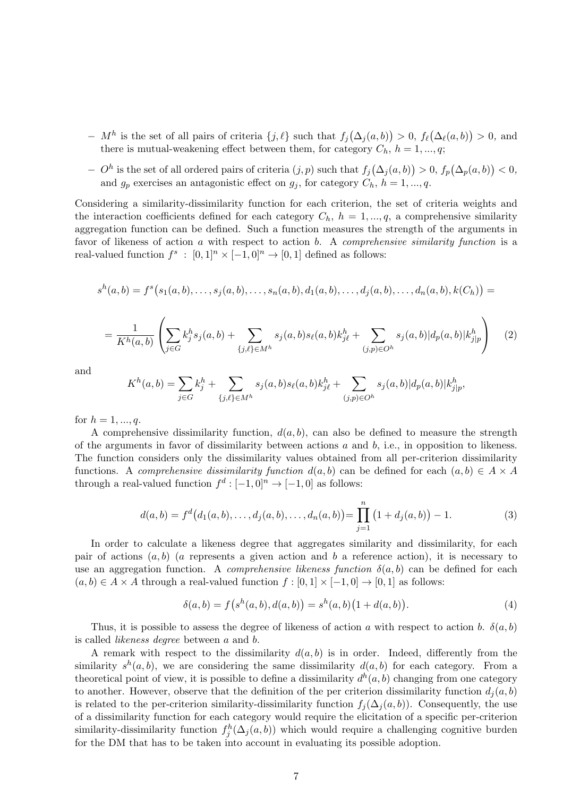- $-M<sup>h</sup>$  is the set of all pairs of criteria  $\{j, \ell\}$  such that  $f_j(\Delta_j(a, b)) > 0$ ,  $f_{\ell}(\Delta_{\ell}(a, b)) > 0$ , and there is mutual-weakening effect between them, for category  $C_h$ ,  $h = 1, ..., q$ ;
- $O<sup>h</sup>$  is the set of all ordered pairs of criteria  $(j, p)$  such that  $f<sub>j</sub>(\Delta<sub>j</sub>(a, b)) > 0$ ,  $f<sub>p</sub>(\Delta<sub>p</sub>(a, b)) < 0$ , and  $g_p$  exercises an antagonistic effect on  $g_j$ , for category  $C_h$ ,  $h = 1, ..., q$ .

Considering a similarity-dissimilarity function for each criterion, the set of criteria weights and the interaction coefficients defined for each category  $C_h$ ,  $h = 1, ..., q$ , a comprehensive similarity aggregation function can be defined. Such a function measures the strength of the arguments in favor of likeness of action a with respect to action b. A *comprehensive similarity function* is a real-valued function  $f^s : [0,1]^n \times [-1,0]^n \to [0,1]$  defined as follows:

$$
s^{h}(a,b) = f^{s}(s_{1}(a,b),\ldots,s_{j}(a,b),\ldots,s_{n}(a,b),d_{1}(a,b),\ldots,d_{j}(a,b),\ldots,d_{n}(a,b),k(C_{h})) =
$$

$$
= \frac{1}{K^h(a,b)} \left( \sum_{j \in G} k_j^h s_j(a,b) + \sum_{\{j,\ell\} \in M^h} s_j(a,b) s_\ell(a,b) k_{j\ell}^h + \sum_{(j,p) \in O^h} s_j(a,b) |d_p(a,b)| k_{j\ell}^h \right) \tag{2}
$$

and

$$
K^h(a,b) = \sum_{j \in G} k_j^h + \sum_{\{j,\ell\} \in M^h} s_j(a,b) s_\ell(a,b) k_{j\ell}^h + \sum_{(j,p) \in O^h} s_j(a,b) |d_p(a,b)| k_{j|p}^h,
$$

for  $h = 1, ..., q$ .

A comprehensive dissimilarity function,  $d(a, b)$ , can also be defined to measure the strength of the arguments in favor of dissimilarity between actions  $a$  and  $b$ , i.e., in opposition to likeness. The function considers only the dissimilarity values obtained from all per-criterion dissimilarity functions. A *comprehensive dissimilarity function*  $d(a, b)$  can be defined for each  $(a, b) \in A \times A$ through a real-valued function  $f^d: [-1,0]^n \to [-1,0]$  as follows:

$$
d(a,b) = f^{d}(d_1(a,b),...,d_j(a,b),...,d_n(a,b)) = \prod_{j=1}^{n} (1 + d_j(a,b)) - 1.
$$
 (3)

In order to calculate a likeness degree that aggregates similarity and dissimilarity, for each pair of actions  $(a, b)$  (a represents a given action and b a reference action), it is necessary to use an aggregation function. A *comprehensive likeness function*  $\delta(a, b)$  can be defined for each  $(a, b) \in A \times A$  through a real-valued function  $f : [0, 1] \times [-1, 0] \rightarrow [0, 1]$  as follows:

$$
\delta(a,b) = f(s^h(a,b), d(a,b)) = s^h(a,b)(1 + d(a,b)).
$$
\n(4)

Thus, it is possible to assess the degree of likeness of action a with respect to action b.  $\delta(a, b)$ is called likeness degree between a and b.

A remark with respect to the dissimilarity  $d(a, b)$  is in order. Indeed, differently from the similarity  $s^h(a, b)$ , we are considering the same dissimilarity  $d(a, b)$  for each category. From a theoretical point of view, it is possible to define a dissimilarity  $d^h(a, b)$  changing from one category to another. However, observe that the definition of the per criterion dissimilarity function  $d_i(a, b)$ is related to the per-criterion similarity-dissimilarity function  $f_i(\Delta_i(a, b))$ . Consequently, the use of a dissimilarity function for each category would require the elicitation of a specific per-criterion similarity-dissimilarity function  $f_j^h(\Delta_j(a, b))$  which would require a challenging cognitive burden for the DM that has to be taken into account in evaluating its possible adoption.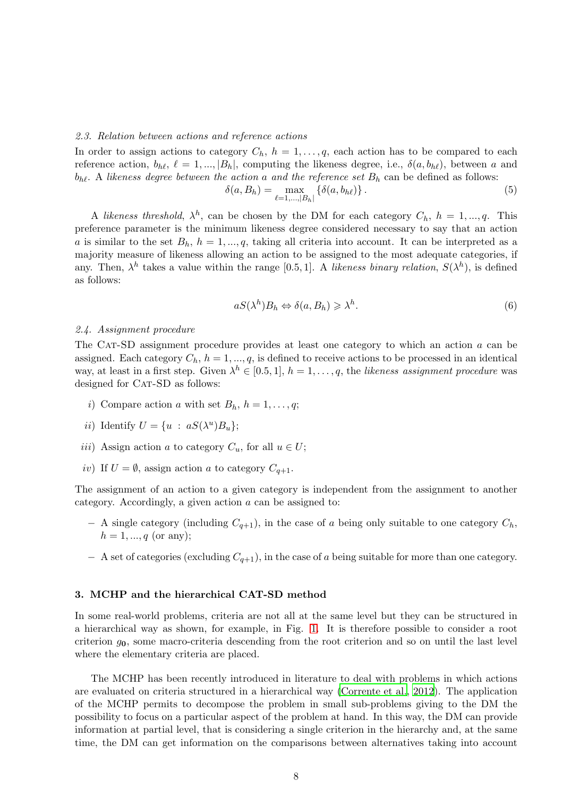#### 2.3. Relation between actions and reference actions

In order to assign actions to category  $C_h$ ,  $h = 1, \ldots, q$ , each action has to be compared to each reference action,  $b_{h\ell}$ ,  $\ell = 1, ..., |B_h|$ , computing the likeness degree, i.e.,  $\delta(a, b_{h\ell})$ , between a and  $b_{h\ell}$ . A likeness degree between the action a and the reference set  $B_h$  can be defined as follows:  $\delta(\alpha)$ 

$$
a, B_h) = \max_{\ell=1,\dots,|B_h|} \{ \delta(a, b_{h\ell}) \}.
$$
 (5)

A likeness threshold,  $\lambda^h$ , can be chosen by the DM for each category  $C_h$ ,  $h = 1, ..., q$ . This preference parameter is the minimum likeness degree considered necessary to say that an action a is similar to the set  $B_h$ ,  $h = 1, ..., q$ , taking all criteria into account. It can be interpreted as a majority measure of likeness allowing an action to be assigned to the most adequate categories, if any. Then,  $\lambda^h$  takes a value within the range [0.5, 1]. A likeness binary relation,  $S(\lambda^h)$ , is defined as follows:

$$
aS(\lambda^h)B_h \Leftrightarrow \delta(a, B_h) \geqslant \lambda^h. \tag{6}
$$

#### 2.4. Assignment procedure

The CAT-SD assignment procedure provides at least one category to which an action  $a$  can be assigned. Each category  $C_h$ ,  $h = 1, ..., q$ , is defined to receive actions to be processed in an identical way, at least in a first step. Given  $\lambda^h \in [0.5, 1], h = 1, \ldots, q$ , the likeness assignment procedure was designed for CAT-SD as follows:

- i) Compare action a with set  $B_h$ ,  $h = 1, \ldots, q$ ;
- *ii*) Identify  $U = \{u : aS(\lambda^u)B_u\};$
- iii) Assign action a to category  $C_u$ , for all  $u \in U$ ;
- iv) If  $U = \emptyset$ , assign action a to category  $C_{q+1}$ .

The assignment of an action to a given category is independent from the assignment to another category. Accordingly, a given action a can be assigned to:

- $-$  A single category (including  $C_{q+1}$ ), in the case of a being only suitable to one category  $C_h$ ,  $h = 1, ..., q$  (or any);
- $-$  A set of categories (excluding  $C_{q+1}$ ), in the case of a being suitable for more than one category.

# <span id="page-7-0"></span>3. MCHP and the hierarchical CAT-SD method

In some real-world problems, criteria are not all at the same level but they can be structured in a hierarchical way as shown, for example, in Fig. [1.](#page-8-0) It is therefore possible to consider a root criterion  $g_0$ , some macro-criteria descending from the root criterion and so on until the last level where the elementary criteria are placed.

The MCHP has been recently introduced in literature to deal with problems in which actions are evaluated on criteria structured in a hierarchical way [\(Corrente et al., 2012\)](#page-29-6). The application of the MCHP permits to decompose the problem in small sub-problems giving to the DM the possibility to focus on a particular aspect of the problem at hand. In this way, the DM can provide information at partial level, that is considering a single criterion in the hierarchy and, at the same time, the DM can get information on the comparisons between alternatives taking into account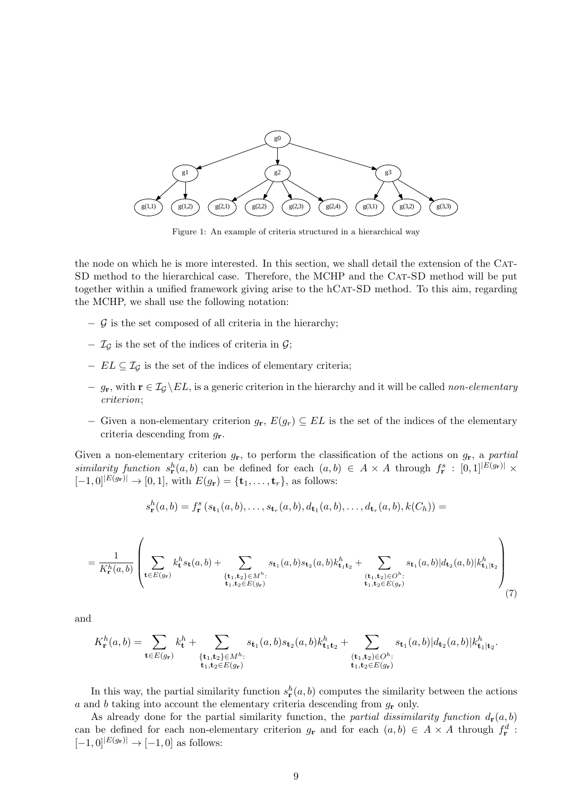<span id="page-8-0"></span>

Figure 1: An example of criteria structured in a hierarchical way

the node on which he is more interested. In this section, we shall detail the extension of the CAT-SD method to the hierarchical case. Therefore, the MCHP and the CAT-SD method will be put together within a unified framework giving arise to the hCAT-SD method. To this aim, regarding the MCHP, we shall use the following notation:

- − G is the set composed of all criteria in the hierarchy;
- $\mathcal{I}_{\mathcal{G}}$  is the set of the indices of criteria in  $\mathcal{G}$ ;
- $EL \subseteq \mathcal{I}_G$  is the set of the indices of elementary criteria;
- $-g_{\mathbf{r}}$ , with  $\mathbf{r} \in \mathcal{I}_{\mathcal{G}} \backslash EL$ , is a generic criterion in the hierarchy and it will be called non-elementary criterion;
- − Given a non-elementary criterion  $g_{\mathbf{r}}, E(g_r) \subseteq EL$  is the set of the indices of the elementary criteria descending from  $g_{\mathbf{r}}$ .

Given a non-elementary criterion  $g_{\bf r}$ , to perform the classification of the actions on  $g_{\bf r}$ , a partial similarity function  $s_{\mathbf{r}}^h(a,b)$  can be defined for each  $(a,b) \in A \times A$  through  $f_{\mathbf{r}}^s : [0,1]^{|E(g_{\mathbf{r}})|} \times$  $[-1, 0]^{E(g_{\mathbf{r}})} \to [0, 1],$  with  $E(g_{\mathbf{r}}) = {\mathbf{t}_1, \dots, \mathbf{t}_r}$ , as follows:

$$
s_{\mathbf{r}}^{h}(a,b) = f_{\mathbf{r}}^{s}(s_{\mathbf{t}_{1}}(a,b),\ldots,s_{\mathbf{t}_{r}}(a,b),d_{\mathbf{t}_{1}}(a,b),\ldots,d_{\mathbf{t}_{r}}(a,b),k(C_{h})) =
$$

<span id="page-8-1"></span>
$$
= \frac{1}{K_{\mathbf{r}}^{h}(a,b)} \left( \sum_{\mathbf{t} \in E(g_{\mathbf{r}})} k_{\mathbf{t}}^{h} s_{\mathbf{t}}(a,b) + \sum_{\substack{\{\mathbf{t}_1,\mathbf{t}_2\} \in M^{h}:\\ \mathbf{t}_1, \mathbf{t}_2 \in E(g_{\mathbf{r}})}} s_{\mathbf{t}_1}(a,b) s_{\mathbf{t}_2}(a,b) k_{\mathbf{t}_1 \mathbf{t}_2}^h + \sum_{\substack{(\mathbf{t}_1,\mathbf{t}_2) \in O^{h}:\\ \mathbf{t}_1, \mathbf{t}_2 \in E(g_{\mathbf{r}})}} s_{\mathbf{t}_1}(a,b) |d_{\mathbf{t}_2}(a,b) | k_{\mathbf{t}_1 | \mathbf{t}_2}^h \right) \tag{7}
$$

and

$$
K^h_{\mathbf{r}}(a,b)=\sum_{\mathbf{t}\in E(g_{\mathbf{r}})}k^h_{\mathbf{t}}+\sum_{\substack{\{\mathbf{t}_1,\mathbf{t}_2\}\in M^h:\\ \mathbf{t}_1,\mathbf{t}_2\in E(g_{\mathbf{r}})}}s_{\mathbf{t}_1}(a,b)s_{\mathbf{t}_2}(a,b)k^h_{\mathbf{t}_1\mathbf{t}_2}+\sum_{\substack{(\mathbf{t}_1,\mathbf{t}_2)\in O^h:\\ \mathbf{t}_1,\mathbf{t}_2\in E(g_{\mathbf{r}})}}s_{\mathbf{t}_1}(a,b)|d_{\mathbf{t}_2}(a,b)|k^h_{\mathbf{t}_1|\mathbf{t}_2}.
$$

In this way, the partial similarity function  $s_{\mathbf{r}}^{h}(a, b)$  computes the similarity between the actions a and b taking into account the elementary criteria descending from  $g_{\mathbf{r}}$  only.

As already done for the partial similarity function, the partial dissimilarity function  $d_{\mathbf{r}}(a, b)$ can be defined for each non-elementary criterion  $g_{\mathbf{r}}$  and for each  $(a, b) \in A \times A$  through  $f_{\mathbf{r}}^d$ :  $[-1,0]^{|E(g_{\bf r})|} \to [-1,0]$  as follows: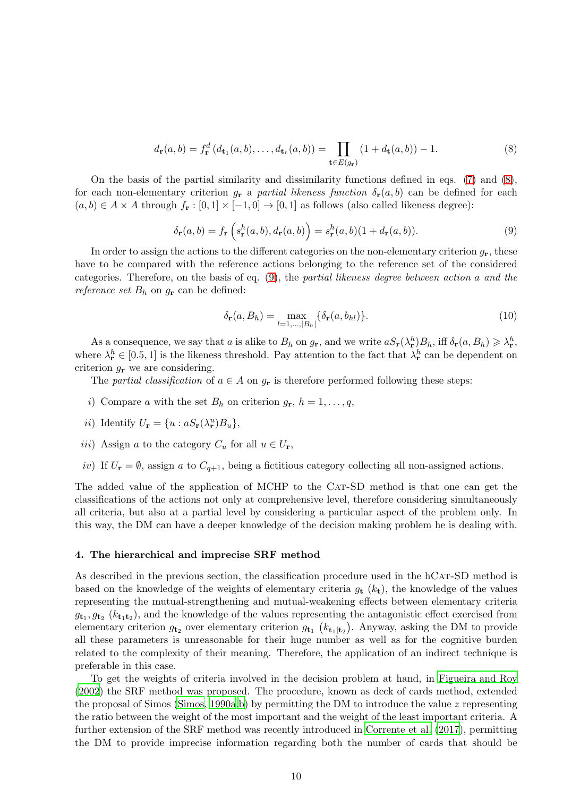<span id="page-9-1"></span>
$$
d_{\mathbf{r}}(a,b) = f_{\mathbf{r}}^d(d_{\mathbf{t}_1}(a,b),\ldots,d_{\mathbf{t}_r}(a,b)) = \prod_{\mathbf{t}\in E(g_{\mathbf{r}})} (1+d_{\mathbf{t}}(a,b)) - 1.
$$
 (8)

On the basis of the partial similarity and dissimilarity functions defined in eqs. [\(7\)](#page-8-1) and [\(8\)](#page-9-1), for each non-elementary criterion  $g_{\mathbf{r}}$  a partial likeness function  $\delta_{\mathbf{r}}(a, b)$  can be defined for each  $(a, b) \in A \times A$  through  $f_{\mathbf{r}} : [0, 1] \times [-1, 0] \to [0, 1]$  as follows (also called likeness degree):

<span id="page-9-2"></span>
$$
\delta_{\mathbf{r}}(a,b) = f_{\mathbf{r}}\left(s_{\mathbf{r}}^h(a,b), d_{\mathbf{r}}(a,b)\right) = s_{\mathbf{r}}^h(a,b)(1 + d_{\mathbf{r}}(a,b)).\tag{9}
$$

In order to assign the actions to the different categories on the non-elementary criterion  $g_r$ , these have to be compared with the reference actions belonging to the reference set of the considered categories. Therefore, on the basis of eq.  $(9)$ , the partial likeness degree between action a and the reference set  $B_h$  on  $g_r$  can be defined:

$$
\delta_{\mathbf{r}}(a, B_h) = \max_{l=1,\dots,|B_h|} \{ \delta_{\mathbf{r}}(a, b_{hl}) \}.
$$
\n(10)

As a consequence, we say that a is alike to  $B_h$  on  $g_{\mathbf{r}}$ , and we write  $aS_{\mathbf{r}}(\lambda_{\mathbf{r}}^h)B_h$ , iff  $\delta_{\mathbf{r}}(a, B_h) \geq \lambda_{\mathbf{r}}^h$ , where  $\lambda_{\mathbf{r}}^h \in [0.5, 1]$  is the likeness threshold. Pay attention to the fact that  $\lambda_{\mathbf{r}}^h$  can be dependent on criterion  $g_{\mathbf{r}}$  we are considering.

The partial classification of  $a \in A$  on  $g_{\mathbf{r}}$  is therefore performed following these steps:

- i) Compare a with the set  $B_h$  on criterion  $g_{\mathbf{r}}, h = 1, \ldots, q$ ,
- *ii*) Identify  $U_{\mathbf{r}} = \{u : aS_{\mathbf{r}}(\lambda_{\mathbf{r}}^u)B_u\},\$
- iii) Assign a to the category  $C_u$  for all  $u \in U_r$ ,
- iv) If  $U_r = \emptyset$ , assign a to  $C_{q+1}$ , being a fictitious category collecting all non-assigned actions.

The added value of the application of MCHP to the CAT-SD method is that one can get the classifications of the actions not only at comprehensive level, therefore considering simultaneously all criteria, but also at a partial level by considering a particular aspect of the problem only. In this way, the DM can have a deeper knowledge of the decision making problem he is dealing with.

#### <span id="page-9-0"></span>4. The hierarchical and imprecise SRF method

As described in the previous section, the classification procedure used in the hCAT-SD method is based on the knowledge of the weights of elementary criteria  $q_t$  ( $k_t$ ), the knowledge of the values representing the mutual-strengthening and mutual-weakening effects between elementary criteria  $g_{\mathbf{t}_1}, g_{\mathbf{t}_2}$  ( $k_{\mathbf{t}_1 \mathbf{t}_2}$ ), and the knowledge of the values representing the antagonistic effect exercised from elementary criterion  $g_{t_2}$  over elementary criterion  $g_{t_1}$  ( $k_{t_1|t_2}$ ). Anyway, asking the DM to provide all these parameters is unreasonable for their huge number as well as for the cognitive burden related to the complexity of their meaning. Therefore, the application of an indirect technique is preferable in this case.

To get the weights of criteria involved in the decision problem at hand, in [Figueira and Roy](#page-29-8) [\(2002](#page-29-8)) the SRF method was proposed. The procedure, known as deck of cards method, extended the proposal of Simos [\(Simos, 1990a](#page-31-2)[,b](#page-31-3)) by permitting the DM to introduce the value z representing the ratio between the weight of the most important and the weight of the least important criteria. A further extension of the SRF method was recently introduced in [Corrente et al. \(2017](#page-29-9)), permitting the DM to provide imprecise information regarding both the number of cards that should be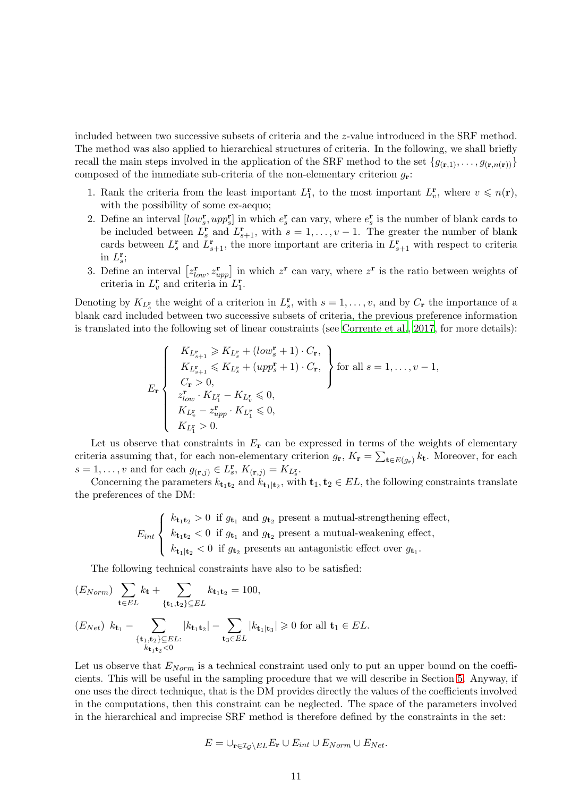included between two successive subsets of criteria and the z-value introduced in the SRF method. The method was also applied to hierarchical structures of criteria. In the following, we shall briefly recall the main steps involved in the application of the SRF method to the set  ${g_{(r,1)}, \ldots, g_{(r,n(r))}}$ composed of the immediate sub-criteria of the non-elementary criterion  $g_r$ :

- 1. Rank the criteria from the least important  $L_1^{\mathbf{r}}$ , to the most important  $L_v^{\mathbf{r}}$ , where  $v \leq n(\mathbf{r})$ , with the possibility of some ex-aequo;
- 2. Define an interval  $[low_s^r, upp_s^r]$  in which  $e_s^r$  can vary, where  $e_s^r$  is the number of blank cards to be included between  $L_s^{\mathbf{r}}$  and  $L_{s+1}^{\mathbf{r}}$ , with  $s = 1, \ldots, v-1$ . The greater the number of blank cards between  $L_s^{\mathbf{r}}$  and  $L_{s+1}^{\mathbf{r}}$ , the more important are criteria in  $L_{s+1}^{\mathbf{r}}$  with respect to criteria in  $L_s^{\mathbf{r}}$ ;
- 3. Define an interval  $[z_{low}^r, z_{upp}^r]$  in which  $z^r$  can vary, where  $z^r$  is the ratio between weights of criteria in  $L_1^{\mathbf{r}}$  and criteria in  $L_1^{\mathbf{r}}$ .

Denoting by  $K_{L^{\mathbf{r}}_s}$  the weight of a criterion in  $L^{\mathbf{r}}_s$ , with  $s = 1, \ldots, v$ , and by  $C_{\mathbf{r}}$  the importance of a blank card included between two successive subsets of criteria, the previous preference information is translated into the following set of linear constraints (see [Corrente et al.](#page-29-9), [2017](#page-29-9), for more details):

$$
E_{\mathbf{r}}\left\{\n\begin{array}{l}\nK_{L_{s+1}^{r}} \geqslant K_{L_{s}^{r}} + (\text{low}_{s}^{r} + 1) \cdot C_{\mathbf{r}}, \\
K_{L_{s+1}^{r}} \leqslant K_{L_{s}^{r}} + (\text{upp}_{s}^{r} + 1) \cdot C_{\mathbf{r}}, \\
C_{\mathbf{r}} > 0, \\
z_{\text{low}}^{r} \cdot K_{L_{1}^{r}} - K_{L_{s}^{r}} \leqslant 0, \\
K_{L_{v}^{r}} - z_{\text{upp}}^{r} \cdot K_{L_{1}^{r}} \leqslant 0, \\
K_{L_{1}^{r}} > 0.\n\end{array}\n\right\}\n\text{for all } s = 1, \ldots, v - 1,
$$

Let us observe that constraints in  $E_r$  can be expressed in terms of the weights of elementary criteria assuming that, for each non-elementary criterion  $g_{\bf r}$ ,  $K_{\bf r} = \sum_{\bf t \in E(g_{\bf r})} k_{\bf t}$ . Moreover, for each  $s = 1, \ldots, v$  and for each  $g_{(\mathbf{r},j)} \in L^{\mathbf{r}}_{s}, K_{(\mathbf{r},j)} = K_{L^{\mathbf{r}}_{s}}$ .

Concerning the parameters  $k_{t_1t_2}$  and  $k_{t_1|t_2}$ , with  $t_1, t_2 \in EL$ , the following constraints translate the preferences of the DM:

> $E_{int}$  $\sqrt{ }$  $\int$  $\overline{\mathcal{L}}$  $k_{\mathbf{t}_1 \mathbf{t}_2} > 0$  if  $g_{\mathbf{t}_1}$  and  $g_{\mathbf{t}_2}$  present a mutual-strengthening effect,  $k_{\mathbf{t}_1 \mathbf{t}_2} < 0$  if  $g_{\mathbf{t}_1}$  and  $g_{\mathbf{t}_2}$  present a mutual-weakening effect,  $k_{\mathbf{t}_{1}|\mathbf{t}_{2}} < 0$  if  $g_{\mathbf{t}_{2}}$  presents an antagonistic effect over  $g_{\mathbf{t}_{1}}$ .

The following technical constraints have also to be satisfied:

$$
(E_{Norm}) \sum_{\mathbf{t} \in EL} k_{\mathbf{t}} + \sum_{\{\mathbf{t}_1, \mathbf{t}_2\} \subseteq EL} k_{\mathbf{t}_1 \mathbf{t}_2} = 100,
$$
  

$$
(E_{Net}) k_{\mathbf{t}_1} - \sum_{\{\mathbf{t}_1, \mathbf{t}_2\} \subseteq EL} |k_{\mathbf{t}_1 \mathbf{t}_2}| - \sum_{\mathbf{t}_3 \in EL} |k_{\mathbf{t}_1 \mathbf{t}_3}| \ge 0 \text{ for all } \mathbf{t}_1 \in EL.
$$

Let us observe that  $E_{Norm}$  is a technical constraint used only to put an upper bound on the coefficients. This will be useful in the sampling procedure that we will describe in Section [5.](#page-17-0) Anyway, if one uses the direct technique, that is the DM provides directly the values of the coefficients involved in the computations, then this constraint can be neglected. The space of the parameters involved in the hierarchical and imprecise SRF method is therefore defined by the constraints in the set:

$$
E = \bigcup_{\mathbf{r} \in \mathcal{I}_{\mathcal{G}} \backslash EL} E_{\mathbf{r}} \cup E_{int} \cup E_{Norm} \cup E_{Net}.
$$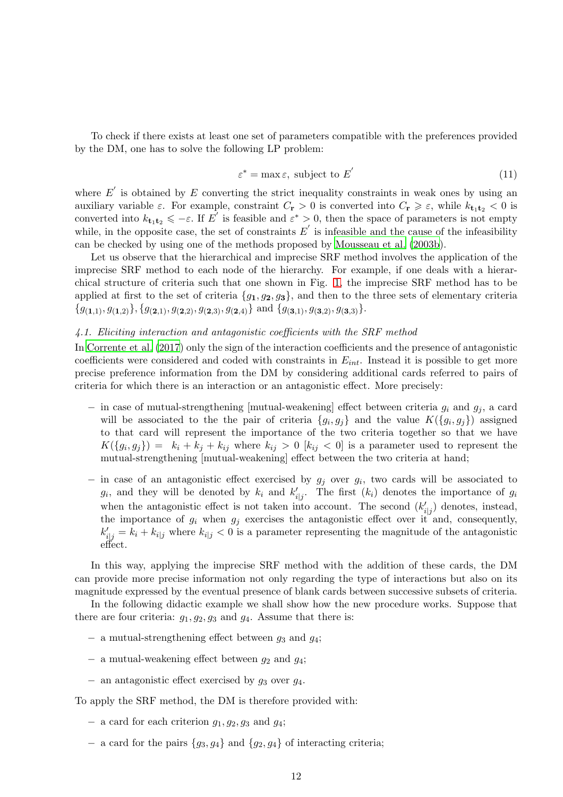To check if there exists at least one set of parameters compatible with the preferences provided by the DM, one has to solve the following LP problem:

<span id="page-11-0"></span>
$$
\varepsilon^* = \max \varepsilon, \text{ subject to } E' \tag{11}
$$

where  $E'$  is obtained by E converting the strict inequality constraints in weak ones by using an auxiliary variable  $\varepsilon$ . For example, constraint  $C_{\mathbf{r}} > 0$  is converted into  $C_{\mathbf{r}} \geq \varepsilon$ , while  $k_{\mathbf{t}_1 \mathbf{t}_2} < 0$  is converted into  $k_{\mathbf{t}_1 \mathbf{t}_2} \leqslant -\varepsilon$ . If  $E'$  is feasible and  $\varepsilon^* > 0$ , then the space of parameters is not empty while, in the opposite case, the set of constraints  $E'$  is infeasible and the cause of the infeasibility can be checked by using one of the methods proposed by [Mousseau et al. \(2003b\)](#page-30-7).

Let us observe that the hierarchical and imprecise SRF method involves the application of the imprecise SRF method to each node of the hierarchy. For example, if one deals with a hierarchical structure of criteria such that one shown in Fig. [1,](#page-8-0) the imprecise SRF method has to be applied at first to the set of criteria  ${g_1, g_2, g_3}$ , and then to the three sets of elementary criteria  ${g_{(1,1)}, g_{(1,2)}}, {g_{(2,1)}, g_{(2,2)}, g_{(2,3)}, g_{(2,4)}}$  and  ${g_{(3,1)}, g_{(3,2)}, g_{(3,3)}}$ .

# 4.1. Eliciting interaction and antagonistic coefficients with the SRF method

In [Corrente et al. \(2017](#page-29-9)) only the sign of the interaction coefficients and the presence of antagonistic coefficients were considered and coded with constraints in  $E_{int}$ . Instead it is possible to get more precise preference information from the DM by considering additional cards referred to pairs of criteria for which there is an interaction or an antagonistic effect. More precisely:

- − in case of mutual-strengthening [mutual-weakening] effect between criteria  $g_i$  and  $g_j$ , a card will be associated to the the pair of criteria  $\{g_i, g_j\}$  and the value  $K(\{g_i, g_j\})$  assigned to that card will represent the importance of the two criteria together so that we have  $K(\lbrace g_i, g_j \rbrace) = k_i + k_j + k_{ij}$  where  $k_{ij} > 0$   $[k_{ij} < 0]$  is a parameter used to represent the mutual-strengthening [mutual-weakening] effect between the two criteria at hand;
- $-$  in case of an antagonistic effect exercised by  $g_j$  over  $g_i$ , two cards will be associated to  $g_i$ , and they will be denoted by  $k_i$  and  $k'_{i|j}$ . The first  $(k_i)$  denotes the importance of  $g_i$ when the antagonistic effect is not taken into account. The second  $(k'_{i|j})$  denotes, instead, the importance of  $g_i$  when  $g_j$  exercises the antagonistic effect over it and, consequently,  $k'_{i|j} = k_i + k_{i|j}$  where  $k_{i|j} < 0$  is a parameter representing the magnitude of the antagonistic effect.

In this way, applying the imprecise SRF method with the addition of these cards, the DM can provide more precise information not only regarding the type of interactions but also on its magnitude expressed by the eventual presence of blank cards between successive subsets of criteria.

In the following didactic example we shall show how the new procedure works. Suppose that there are four criteria:  $g_1, g_2, g_3$  and  $g_4$ . Assume that there is:

- − a mutual-strengthening effect between g<sup>3</sup> and g4;
- $-$  a mutual-weakening effect between  $g_2$  and  $g_4$ ;
- $-$  an antagonistic effect exercised by  $g_3$  over  $g_4$ .

To apply the SRF method, the DM is therefore provided with:

- $-$  a card for each criterion  $g_1, g_2, g_3$  and  $g_4$ ;
- $-$  a card for the pairs  ${g_3, g_4}$  and  ${g_2, g_4}$  of interacting criteria;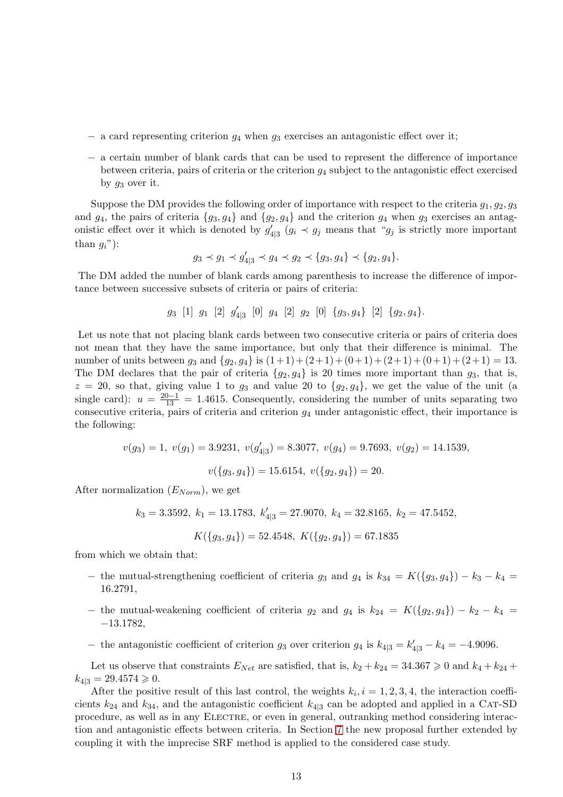- $-$  a card representing criterion  $g_4$  when  $g_3$  exercises an antagonistic effect over it;
- − a certain number of blank cards that can be used to represent the difference of importance between criteria, pairs of criteria or the criterion  $g_4$  subject to the antagonistic effect exercised by  $q_3$  over it.

Suppose the DM provides the following order of importance with respect to the criteria  $g_1, g_2, g_3$ and  $g_4$ , the pairs of criteria  $\{g_3, g_4\}$  and  $\{g_2, g_4\}$  and the criterion  $g_4$  when  $g_3$  exercises an antagonistic effect over it which is denoted by  $g'_{4|3}$   $(g_i \prec g_j$  means that " $g_j$  is strictly more important than  $q_i$ "):

$$
g_3 \prec g_1 \prec g'_{4|3} \prec g_4 \prec g_2 \prec \{g_3, g_4\} \prec \{g_2, g_4\}.
$$

The DM added the number of blank cards among parenthesis to increase the difference of importance between successive subsets of criteria or pairs of criteria:

$$
g_3
$$
 [1]  $g_1$  [2]  $g'_{4|3}$  [0]  $g_4$  [2]  $g_2$  [0]  $\{g_3, g_4\}$  [2]  $\{g_2, g_4\}$ .

Let us note that not placing blank cards between two consecutive criteria or pairs of criteria does not mean that they have the same importance, but only that their difference is minimal. The number of units between  $g_3$  and  $\{g_2, g_4\}$  is  $(1+1) + (2+1) + (0+1) + (2+1) + (0+1) + (2+1) = 13$ . The DM declares that the pair of criteria  $\{g_2, g_4\}$  is 20 times more important than  $g_3$ , that is,  $z = 20$ , so that, giving value 1 to  $g_3$  and value 20 to  $\{g_2, g_4\}$ , we get the value of the unit (a single card):  $u = \frac{20-1}{13} = 1.4615$ . Consequently, considering the number of units separating two consecutive criteria, pairs of criteria and criterion  $g_4$  under antagonistic effect, their importance is the following:

$$
v(g_3) = 1, v(g_1) = 3.9231, v(g'_{4|3}) = 8.3077, v(g_4) = 9.7693, v(g_2) = 14.1539,
$$
  
 $v({g_3, g_4}) = 15.6154, v({g_2, g_4}) = 20.$ 

After normalization  $(E_{Norm})$ , we get

$$
k_3=3.3592,\ k_1=13.1783,\ k'_{4|3}=27.9070,\ k_4=32.8165,\ k_2=47.5452,
$$

$$
K(\lbrace g_3, g_4 \rbrace) = 52.4548, K(\lbrace g_2, g_4 \rbrace) = 67.1835
$$

from which we obtain that:

- − the mutual-strengthening coefficient of criteria  $g_3$  and  $g_4$  is  $k_{34} = K({g_3, g_4}) k_3 k_4 =$ 16.2791,
- − the mutual-weakening coefficient of criteria  $g_2$  and  $g_4$  is  $k_{24} = K({g_2, g_4}) k_2 k_4 =$ −13.1782,
- − the antagonistic coefficient of criterion  $g_3$  over criterion  $g_4$  is  $k_{4|3} = k'_{4|3} k_4 = -4.9096$ .

Let us observe that constraints  $E_{Net}$  are satisfied, that is,  $k_2 + k_{24} = 34.367 \ge 0$  and  $k_4 + k_{24} +$  $k_{4|3} = 29.4574 \geqslant 0.$ 

After the positive result of this last control, the weights  $k_i$ ,  $i = 1, 2, 3, 4$ , the interaction coefficients  $k_{24}$  and  $k_{34}$ , and the antagonistic coefficient  $k_{4|3}$  can be adopted and applied in a CAT-SD procedure, as well as in any Electre, or even in general, outranking method considering interaction and antagonistic effects between criteria. In Section [7](#page-21-0) the new proposal further extended by coupling it with the imprecise SRF method is applied to the considered case study.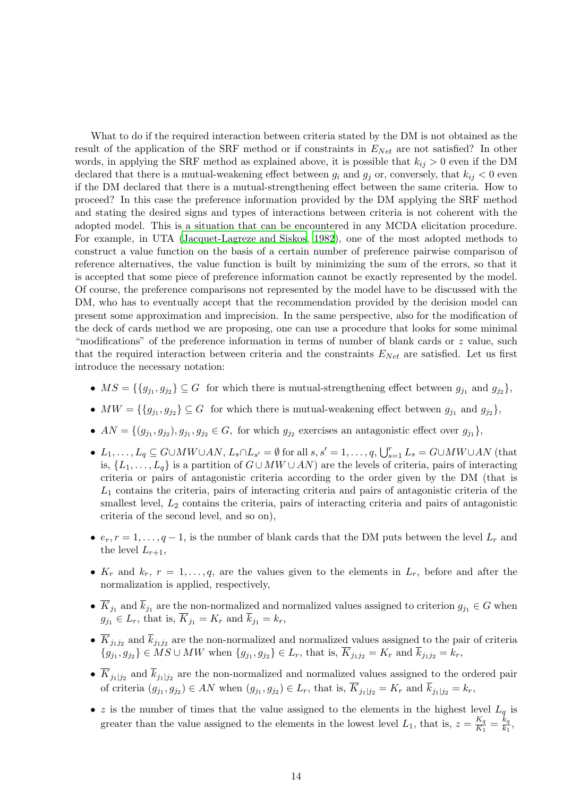What to do if the required interaction between criteria stated by the DM is not obtained as the result of the application of the SRF method or if constraints in  $E_{Net}$  are not satisfied? In other words, in applying the SRF method as explained above, it is possible that  $k_{ij} > 0$  even if the DM declared that there is a mutual-weakening effect between  $g_i$  and  $g_j$  or, conversely, that  $k_{ij} < 0$  even if the DM declared that there is a mutual-strengthening effect between the same criteria. How to proceed? In this case the preference information provided by the DM applying the SRF method and stating the desired signs and types of interactions between criteria is not coherent with the adopted model. This is a situation that can be encountered in any MCDA elicitation procedure. For example, in UTA [\(Jacquet-Lagreze and Siskos, 1982\)](#page-30-8), one of the most adopted methods to construct a value function on the basis of a certain number of preference pairwise comparison of reference alternatives, the value function is built by minimizing the sum of the errors, so that it is accepted that some piece of preference information cannot be exactly represented by the model. Of course, the preference comparisons not represented by the model have to be discussed with the DM, who has to eventually accept that the recommendation provided by the decision model can present some approximation and imprecision. In the same perspective, also for the modification of the deck of cards method we are proposing, one can use a procedure that looks for some minimal "modifications" of the preference information in terms of number of blank cards or  $z$  value, such that the required interaction between criteria and the constraints  $E_{Net}$  are satisfied. Let us first introduce the necessary notation:

- $MS = \{\{g_{j_1}, g_{j_2}\}\subseteq G$  for which there is mutual-strengthening effect between  $g_{j_1}$  and  $g_{j_2}\},$
- $MW = \{\{g_{j_1}, g_{j_2}\}\subseteq G$  for which there is mutual-weakening effect between  $g_{j_1}$  and  $g_{j_2}\},$
- $AN = \{(g_{j_1}, g_{j_2}), g_{j_1}, g_{j_2} \in G, \text{ for which } g_{j_2} \text{ exercises an antagonistic effect over } g_{j_1}\}\,$
- $L_1, \ldots, L_q \subseteq G \cup MW \cup AN, L_s \cap L_{s'} = \emptyset$  for all  $s, s' = 1, \ldots, q, \bigcup_{s=1}^r L_s = G \cup MW \cup AN$  (that is,  $\{L_1, \ldots, L_q\}$  is a partition of  $G \cup MW \cup AN$  are the levels of criteria, pairs of interacting criteria or pairs of antagonistic criteria according to the order given by the DM (that is  $L_1$  contains the criteria, pairs of interacting criteria and pairs of antagonistic criteria of the smallest level,  $L_2$  contains the criteria, pairs of interacting criteria and pairs of antagonistic criteria of the second level, and so on),
- $e_r$ ,  $r = 1, \ldots, q-1$ , is the number of blank cards that the DM puts between the level  $L_r$  and the level  $L_{r+1}$ ,
- $K_r$  and  $k_r$ ,  $r = 1, \ldots, q$ , are the values given to the elements in  $L_r$ , before and after the normalization is applied, respectively,
- $K_{j_1}$  and  $k_{j_1}$  are the non-normalized and normalized values assigned to criterion  $g_{j_1} \in G$  when  $g_{j_1} \in L_r$ , that is,  $K_{j_1} = K_r$  and  $k_{j_1} = k_r$ ,
- $K_{j_1j_2}$  and  $k_{j_1j_2}$  are the non-normalized and normalized values assigned to the pair of criteria  ${g_{j_1}, g_{j_2}} \in MS \cup MW$  when  ${g_{j_1}, g_{j_2}} \in L_r$ , that is,  $K_{j_1j_2} = K_r$  and  $k_{j_1j_2} = k_r$ ,
- $K_{j_1|j_2}$  and  $k_{j_1|j_2}$  are the non-normalized and normalized values assigned to the ordered pair of criteria  $(g_{j_1}, g_{j_2}) \in AN$  when  $(g_{j_1}, g_{j_2}) \in L_r$ , that is,  $K_{j_1|j_2} = K_r$  and  $k_{j_1|j_2} = k_r$ ,
- z is the number of times that the value assigned to the elements in the highest level  $L_q$  is greater than the value assigned to the elements in the lowest level  $L_1$ , that is,  $z = \frac{K_q}{K_1}$  $\frac{K_q}{K_1} = \frac{k_q}{k_1}$  $\frac{\kappa_q}{k_1},$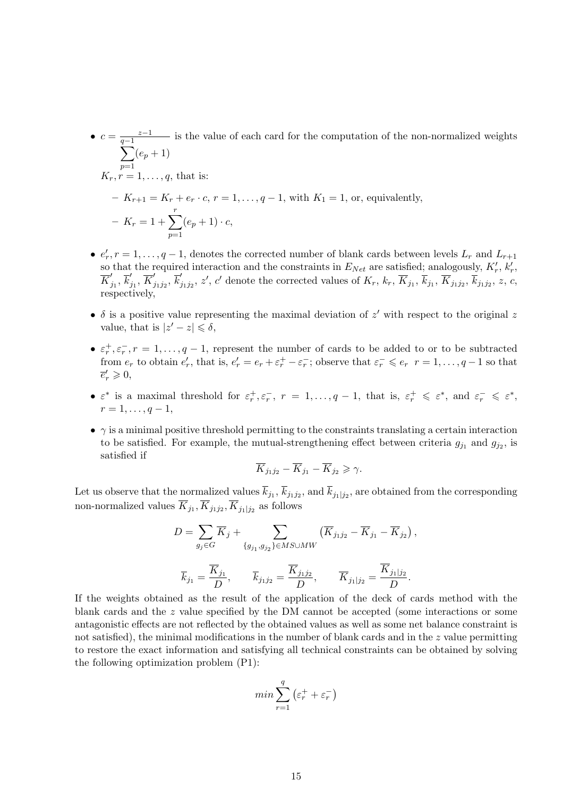- $c = \frac{z-1}{z-1}$  $\sum$  $\frac{z-1}{q-1}$  is the value of each card for the computation of the non-normalized weights  $p=1$  $(e_p + 1)$  $K_r, r = 1, \ldots, q$ , that is: –  $K_{r+1} = K_r + e_r \cdot c, r = 1, ..., q-1$ , with  $K_1 = 1$ , or, equivalently,  $-K_r = 1 + \sum^{r}$  $p=1$  $(e_p + 1) \cdot c$ ,
- $e'_r$ ,  $r = 1, \ldots, q-1$ , denotes the corrected number of blank cards between levels  $L_r$  and  $L_{r+1}$  $e_r$ ,  $r = 1, \ldots, q - 1$ , denotes the corrected number of blank cards between levels  $L_r$  and  $L_{r+1}$  so that the required interaction and the constraints in  $E_{Net}$  are satisfied; analogously,  $K'_r$ ,  $k'_r$ ,  $\overline{K}'$  $'_{j_1}, \overline{k}'_j$  $'_{j_1},\,\overline{K}'_j$  $'_{j_1j_2},\, \overline{k}'_j$  $\overline{K}_{j_1j_2},\,z',\,c'$  denote the corrected values of  $K_r,\,k_r,\,\overline{K}_{j_1},\,\overline{K}_{j_1,j_2},\,\overline{K}_{j_1j_2},\,z,\,c,\,c$ respectively,
- $\delta$  is a positive value representing the maximal deviation of  $z'$  with respect to the original  $z$ value, that is  $|z'-z| \leq \delta$ ,
- $\varepsilon_r^+, \varepsilon_r^-, r = 1, \ldots, q-1$ , represent the number of cards to be added to or to be subtracted from  $e_r$  to obtain  $e'_r$ , that is,  $e'_r = e_r + \varepsilon_r^+ - \varepsilon_r^-$ ; observe that  $\varepsilon_r^- \leqslant e_r$   $r = 1, \ldots, q-1$  so that  $\overline{e}'_r\geqslant 0,$
- $\varepsilon^*$  is a maximal threshold for  $\varepsilon_r^+, \varepsilon_r^-, r = 1, \ldots, q-1$ , that is,  $\varepsilon_r^+ \leqslant \varepsilon^*$ , and  $\varepsilon_r^- \leqslant \varepsilon^*$ ,  $r = 1, \ldots, q - 1,$
- $\gamma$  is a minimal positive threshold permitting to the constraints translating a certain interaction to be satisfied. For example, the mutual-strengthening effect between criteria  $g_{j_1}$  and  $g_{j_2}$ , is satisfied if

$$
\overline{K}_{j_1j_2} - \overline{K}_{j_1} - \overline{K}_{j_2} \geqslant \gamma.
$$

Let us observe that the normalized values  $k_{j_1}, k_{j_1j_2}$ , and  $k_{j_1|j_2}$ , are obtained from the corresponding non-normalized values  $K_{j_1}, K_{j_1j_2}, K_{j_1|j_2}$  as follows

$$
D = \sum_{g_j \in G} \overline{K}_j + \sum_{\{g_{j_1}, g_{j_2}\} \in MS \cup MW} (\overline{K}_{j_1 j_2} - \overline{K}_{j_1} - \overline{K}_{j_2}),
$$
  

$$
\overline{k}_{j_1} = \frac{\overline{K}_{j_1}}{D}, \qquad \overline{k}_{j_1 j_2} = \frac{\overline{K}_{j_1 j_2}}{D}, \qquad \overline{K}_{j_1 | j_2} = \frac{\overline{K}_{j_1 | j_2}}{D}.
$$

If the weights obtained as the result of the application of the deck of cards method with the blank cards and the  $z$  value specified by the DM cannot be accepted (some interactions or some antagonistic effects are not reflected by the obtained values as well as some net balance constraint is not satisfied), the minimal modifications in the number of blank cards and in the  $z$  value permitting to restore the exact information and satisfying all technical constraints can be obtained by solving the following optimization problem (P1):

$$
\min \sum_{r=1}^q \left(\varepsilon_r^+ + \varepsilon_r^-\right)
$$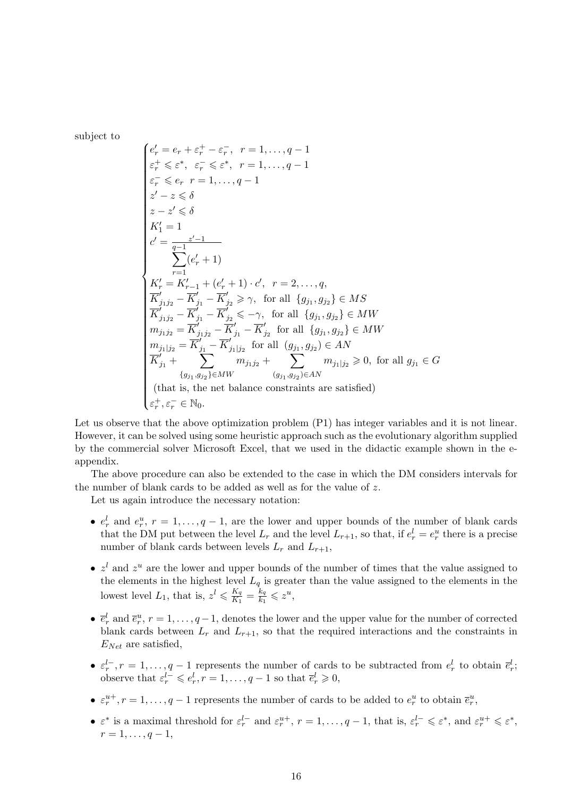subject to

$$
\left\{ \begin{aligned} &e'_{r}=e_{r}+\varepsilon_{r}^{+}-\varepsilon_{r}^{-},\:\:r=1,\ldots,q-1\\ &\varepsilon_{r}^{+}\leqslant\varepsilon^{*},\:\: \varepsilon_{r}^{-}\leqslant\varepsilon^{*},\:\:r=1,\ldots,q-1\\ &\varepsilon_{r}^{-}\leqslant e_{r}\:\:r=1,\ldots,q-1\\ &z'-z\leqslant\delta\\ &z-z'\leqslant\delta\\ &K'_{1}=1\\ &\qquad \qquad \sum_{r=1}^{z'-1} (e'_{r}+1)\\ &\qquad \qquad \sum_{r=1}^{z'-1} (e'_{r}+1)\cdot c',\:\:r=2,\ldots,q,\\ &\overline{K}'_{j_{1}j_{2}}-\overline{K}'_{j_{1}}-\overline{K}'_{j_{2}}\geqslant\gamma,\:\:\text{for all}\:\: \{g_{j_{1}},g_{j_{2}}\}\in MS\\ &\overline{K}'_{j_{1}j_{2}}-\overline{K}'_{j_{1}}-\overline{K}'_{j_{2}}\leqslant-\gamma,\:\:\text{for all}\:\: \{g_{j_{1}},g_{j_{2}}\}\in MW\\ &m_{j_{1}j_{2}}=\overline{K}'_{j_{1}j_{2}}-\overline{K}'_{j_{1}}-\overline{K}'_{j_{2}}\:\:\text{for all}\:\: \{g_{j_{1}},g_{j_{2}}\}\in MW\\ &m_{j_{1}j_{2}}=\overline{K}'_{j_{1}}-\overline{K}'_{j_{1}}\:\:\text{for all}\:\: (g_{j_{1}},g_{j_{2}})\in AN\\ &\overline{K}'_{j_{1}}+\sum_{(g_{j_{1}},g_{j_{2}})\in MN}\:\:\:m_{j_{1}j_{2}}\neq\sum_{(g_{j_{1}},g_{j_{2}})\in AN}\:\:\text{for all}\:\: g_{j_{1}}\in G\\ &\quad \ \ (\text{that is, the net balance constraints are satisfied)}\\ &\varepsilon_{r}^{+},\:\varepsilon_{r}^{-}\in\mathbb{N}_{0}. \end{aligned} \right.
$$

Let us observe that the above optimization problem (P1) has integer variables and it is not linear. However, it can be solved using some heuristic approach such as the evolutionary algorithm supplied by the commercial solver Microsoft Excel, that we used in the didactic example shown in the eappendix.

The above procedure can also be extended to the case in which the DM considers intervals for the number of blank cards to be added as well as for the value of z.

Let us again introduce the necessary notation:

- $e_r^l$  and  $e_r^u$ ,  $r = 1, \ldots, q-1$ , are the lower and upper bounds of the number of blank cards that the DM put between the level  $L_r$  and the level  $L_{r+1}$ , so that, if  $e_r^l = e_r^u$  there is a precise number of blank cards between levels  $L_r$  and  $L_{r+1}$ ,
- $z<sup>l</sup>$  and  $z<sup>u</sup>$  are the lower and upper bounds of the number of times that the value assigned to the elements in the highest level  $L_q$  is greater than the value assigned to the elements in the lowest level  $L_1$ , that is,  $z^l \leqslant \frac{K_q}{K_1}$  $\frac{K_q}{K_1} = \frac{k_q}{k_1}$  $\frac{k_q}{k_1} \leqslant z^u,$
- $\bar{e}_r^l$  and  $\bar{e}_r^u$ ,  $r = 1, \ldots, q-1$ , denotes the lower and the upper value for the number of corrected blank cards between  $L_r$  and  $L_{r+1}$ , so that the required interactions and the constraints in  $E_{Net}$  are satisfied,
- $\varepsilon_r^{l-}$ ,  $r = 1, \ldots, q-1$  represents the number of cards to be subtracted from  $e_r^l$  to obtain  $\bar{e}_r^l$ ; observe that  $\varepsilon_r^{l-} \leqslant e_r^{l}, r = 1, \ldots, q-1$  so that  $\overline{e}_r^{l} \geqslant 0$ ,
- $\varepsilon_r^{u+}$ ,  $r = 1, \ldots, q-1$  represents the number of cards to be added to  $e_r^u$  to obtain  $\bar{e}_r^u$ ,
- $\varepsilon^*$  is a maximal threshold for  $\varepsilon_r^{l-}$  and  $\varepsilon_r^{u+}$ ,  $r = 1, \ldots, q-1$ , that is,  $\varepsilon_r^{l-} \leqslant \varepsilon^*$ , and  $\varepsilon_r^{u+} \leqslant \varepsilon^*$ ,  $r = 1, \ldots, q - 1,$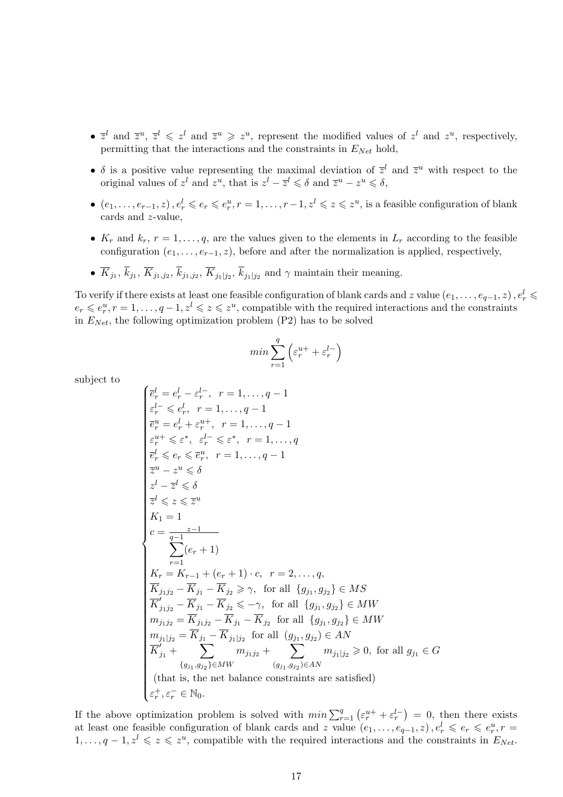- $\bar{z}^l$  and  $\bar{z}^u$ ,  $\bar{z}^l \leq z^l$  and  $\bar{z}^u \geq z^u$ , represent the modified values of  $z^l$  and  $z^u$ , respectively, permitting that the interactions and the constraints in  $E_{Net}$  hold,
- $\delta$  is a positive value representing the maximal deviation of  $\bar{z}^l$  and  $\bar{z}^u$  with respect to the original values of  $z^l$  and  $z^u$ , that is  $z^l - \overline{z}^l \leq \delta$  and  $\overline{z}^u - z^u \leq \delta$ ,
- $(e_1, \ldots, e_{r-1}, z)$ ,  $e_r^l \leqslant e_r \leqslant e_r^u$ ,  $r = 1, \ldots, r-1$ ,  $z^l \leqslant z \leqslant z^u$ , is a feasible configuration of blank cards and z-value,
- $K_r$  and  $k_r$ ,  $r = 1, \ldots, q$ , are the values given to the elements in  $L_r$  according to the feasible configuration  $(e_1, \ldots, e_{r-1}, z)$ , before and after the normalization is applied, respectively,
- $K_{j_1}, k_{j_1}, K_{j_1, j_2}, k_{j_1, j_2}, K_{j_1, j_2}, k_{j_1, j_2}$  and  $\gamma$  maintain their meaning.

To verify if there exists at least one feasible configuration of blank cards and z value  $(e_1,\ldots,e_{q-1},z)$  ,  $e_r^l\leqslant$  $e_r \leqslant e_r^u, r = 1, \ldots, q-1, z^l \leqslant z \leqslant z^u$ , compatible with the required interactions and the constraints in  $E_{Net}$ , the following optimization problem (P2) has to be solved

$$
\min \sum_{r=1}^q \left( \varepsilon_r^{u+} + \varepsilon_r^{l-} \right)
$$

subject to

$$
\left\{ \begin{aligned} & \overline{e}^l_r = e^l_r - \overline{e}^{l-}_r, \ r=1,\ldots,q-1 \\ & \varepsilon^l_r \leqslant e^l_r, \ r=1,\ldots,q-1 \\ & \overline{e}^u_r = e^l_r + \varepsilon^{u+}_r, \ r=1,\ldots,q-1 \\ & \varepsilon^{u+}_r \leqslant \varepsilon^*, \ \varepsilon^l_r \leqslant \varepsilon^*, \ r=1,\ldots,q \\ & \overline{e}^l_r \leqslant e_r \leqslant \overline{e}^u_r, \ r=1,\ldots,q-1 \\ & \overline{z}^u - z^u \leqslant \delta \\ & \overline{z}^l - \overline{z}^l \leqslant \delta \\ & \overline{z}^l \leqslant z \leqslant \overline{z}^u \\ & K_1 = 1 \\ & \sum_{r=1}^{z-1} (e_r + 1) \\ & \sum_{r=1}^{z-1} (e_r + 1) \\ & \overline{K}_{j_1j_2} - \overline{K}_{j_1} - \overline{K}_{j_2} \geqslant \gamma, \ \text{for all } \{g_{j_1}, g_{j_2}\} \in MS \\ & \overline{K}'_{j_1j_2} - \overline{K}_{j_1} - \overline{K}_{j_2} \leqslant -\gamma, \ \text{for all } \{g_{j_1}, g_{j_2}\} \in MW \\ & m_{j_1j_2} = \overline{K}_{j_1j_2} - \overline{K}_{j_1} - \overline{K}_{j_2} \ \text{for all } \{g_{j_1}, g_{j_2}\} \in MW \\ & m_{j_1j_2} = \overline{K}_{j_1j_2} - \overline{K}_{j_1} - \overline{K}_{j_2} \ \text{for all } \{g_{j_1}, g_{j_2}\} \in MW \\ & m_{j_1|j_2} = \overline{K}_{j_1} - \overline{K}_{j_1|j_2} \ \text{for all } (g_{j_1}, g_{j_2}) \in AN \\ & \overline{K}'_{j_1} + \sum_{\{g_{j_1}, g_{j_2}\} \in MW} m_{j_1j_2} + \sum_{\{g_{j_1}, g_{j_2}\} \in AN} m_{j_1|j_2} \geqsl
$$

If the above optimization problem is solved with  $min \sum_{r=1}^{q} (\varepsilon_r^{u+} + \varepsilon_r^{l-}) = 0$ , then there exists at least one feasible configuration of blank cards and z value  $(e_1, \ldots, e_{q-1}, z)$ ,  $e_r^l \leq e_r \leq e_r^u$ ,  $r =$  $1, \ldots, q-1, z^l \leqslant z \leqslant z^u$ , compatible with the required interactions and the constraints in  $E_{Net}$ .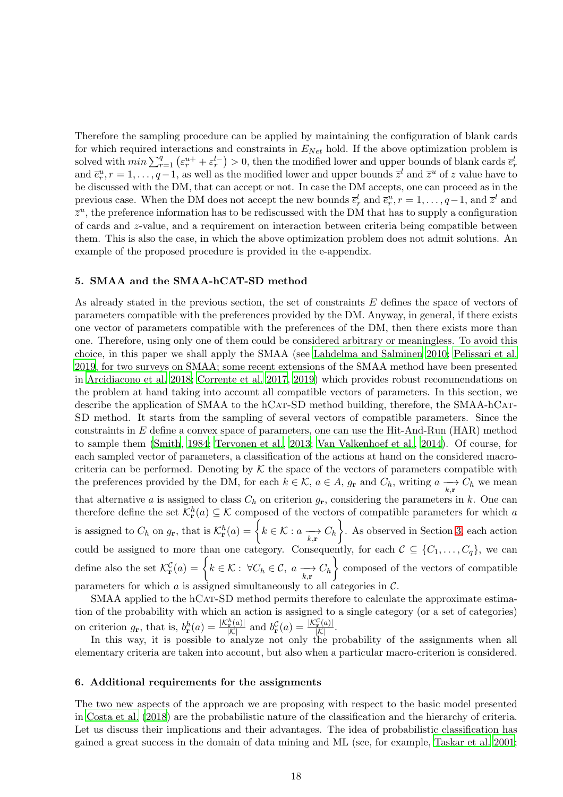Therefore the sampling procedure can be applied by maintaining the configuration of blank cards for which required interactions and constraints in  $E_{Net}$  hold. If the above optimization problem is solved with  $min \sum_{r=1}^q (\varepsilon_r^{u+} + \varepsilon_r^{l-}) > 0$ , then the modified lower and upper bounds of blank cards  $\bar{e}_r^l$ and  $\bar{e}_r^u$ ,  $r = 1, \ldots, q-1$ , as well as the modified lower and upper bounds  $\bar{z}^l$  and  $\bar{z}^u$  of z value have to be discussed with the DM, that can accept or not. In case the DM accepts, one can proceed as in the previous case. When the DM does not accept the new bounds  $\bar{e}_r^l$  and  $\bar{e}_r^u$ ,  $r = 1, \ldots, q-1$ , and  $\bar{z}^l$  and  $\bar{z}^u$ , the preference information has to be rediscussed with the DM that has to supply a configuration of cards and z-value, and a requirement on interaction between criteria being compatible between them. This is also the case, in which the above optimization problem does not admit solutions. An example of the proposed procedure is provided in the e-appendix.

#### <span id="page-17-0"></span>5. SMAA and the SMAA-hCAT-SD method

As already stated in the previous section, the set of constraints E defines the space of vectors of parameters compatible with the preferences provided by the DM. Anyway, in general, if there exists one vector of parameters compatible with the preferences of the DM, then there exists more than one. Therefore, using only one of them could be considered arbitrary or meaningless. To avoid this choice, in this paper we shall apply the SMAA (see [Lahdelma and Salminen 2010](#page-30-5); [Pelissari et al.](#page-30-6) [2019,](#page-30-6) for two surveys on SMAA; some recent extensions of the SMAA method have been presented in [Arcidiacono et al. 2018;](#page-28-3) [Corrente et al. 2017,](#page-29-9) [2019](#page-29-12)) which provides robust recommendations on the problem at hand taking into account all compatible vectors of parameters. In this section, we describe the application of SMAA to the hCAT-SD method building, therefore, the SMAA-hCAT-SD method. It starts from the sampling of several vectors of compatible parameters. Since the constraints in  $E$  define a convex space of parameters, one can use the Hit-And-Run (HAR) method to sample them [\(Smith](#page-31-4), [1984](#page-31-4); [Tervonen et al.](#page-31-5), [2013](#page-31-5); [Van Valkenhoef et al., 2014\)](#page-31-6). Of course, for each sampled vector of parameters, a classification of the actions at hand on the considered macrocriteria can be performed. Denoting by  $K$  the space of the vectors of parameters compatible with the preferences provided by the DM, for each  $k \in \mathcal{K}$ ,  $a \in A$ ,  $g_{\mathbf{r}}$  and  $C_h$ , writing  $a \longrightarrow C_h$  we mean that alternative a is assigned to class  $C_h$  on criterion  $g_r$ , considering the parameters in k. One can therefore define the set  $\mathcal{K}_{\mathbf{r}}^h(a) \subseteq \mathcal{K}$  composed of the vectors of compatible parameters for which a is assigned to  $C_h$  on  $g_{\mathbf{r}}$ , that is  $\mathcal{K}_{\mathbf{r}}^h(a) = \left\{ k \in \mathcal{K} : a \underset{k,\mathbf{r}}{\longrightarrow} C_h \right\}$ . As observed in Section [3,](#page-7-0) each action could be assigned to more than one category. Consequently, for each  $\mathcal{C} \subseteq \{C_1, \ldots, C_q\}$ , we can define also the set  $\mathcal{K}_{\mathbf{r}}^{\mathcal{C}}(a) = \left\{ k \in \mathcal{K} : \ \forall C_h \in \mathcal{C}, \ a \xrightarrow[k,\mathbf{r}] \right\}$  composed of the vectors of compatible parameters for which  $\alpha$  is assigned simultaneously to all categories in  $\mathcal{C}$ .

SMAA applied to the hCAT-SD method permits therefore to calculate the approximate estimation of the probability with which an action is assigned to a single category (or a set of categories) on criterion  $g_{\mathbf{r}}$ , that is,  $b_{\mathbf{r}}^{h}(a) = \frac{|\mathcal{K}_{\mathbf{r}}^{h}(a)|}{|\mathcal{K}|}$  and  $b_{\mathbf{r}}^{C}(a) = \frac{|\mathcal{K}_{\mathbf{r}}^{C}(a)|}{|\mathcal{K}|}$ .

In this way, it is possible to analyze not only the probability of the assignments when all elementary criteria are taken into account, but also when a particular macro-criterion is considered.

#### <span id="page-17-1"></span>6. Additional requirements for the assignments

The two new aspects of the approach we are proposing with respect to the basic model presented in [Costa et al. \(2018](#page-29-4)) are the probabilistic nature of the classification and the hierarchy of criteria. Let us discuss their implications and their advantages. The idea of probabilistic classification has gained a great success in the domain of data mining and ML (see, for example, [Taskar et al. 2001;](#page-31-7)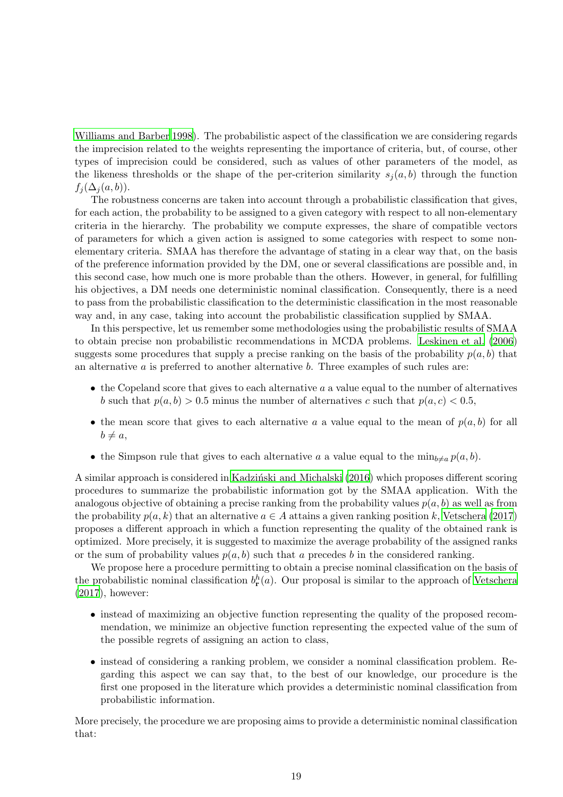[Williams and Barber 1998\)](#page-31-8). The probabilistic aspect of the classification we are considering regards the imprecision related to the weights representing the importance of criteria, but, of course, other types of imprecision could be considered, such as values of other parameters of the model, as the likeness thresholds or the shape of the per-criterion similarity  $s_i(a, b)$  through the function  $f_i(\Delta_i(a, b)).$ 

The robustness concerns are taken into account through a probabilistic classification that gives, for each action, the probability to be assigned to a given category with respect to all non-elementary criteria in the hierarchy. The probability we compute expresses, the share of compatible vectors of parameters for which a given action is assigned to some categories with respect to some nonelementary criteria. SMAA has therefore the advantage of stating in a clear way that, on the basis of the preference information provided by the DM, one or several classifications are possible and, in this second case, how much one is more probable than the others. However, in general, for fulfilling his objectives, a DM needs one deterministic nominal classification. Consequently, there is a need to pass from the probabilistic classification to the deterministic classification in the most reasonable way and, in any case, taking into account the probabilistic classification supplied by SMAA.

In this perspective, let us remember some methodologies using the probabilistic results of SMAA to obtain precise non probabilistic recommendations in MCDA problems. [Leskinen et al. \(2006\)](#page-30-9) suggests some procedures that supply a precise ranking on the basis of the probability  $p(a, b)$  that an alternative  $a$  is preferred to another alternative  $b$ . Three examples of such rules are:

- $\bullet$  the Copeland score that gives to each alternative a a value equal to the number of alternatives b such that  $p(a, b) > 0.5$  minus the number of alternatives c such that  $p(a, c) < 0.5$ ,
- the mean score that gives to each alternative a a value equal to the mean of  $p(a, b)$  for all  $b \neq a$ ,
- the Simpson rule that gives to each alternative a a value equal to the  $\min_{b\neq a} p(a, b)$ .

A similar approach is considered in Kadziński and Michalski  $(2016)$  which proposes different scoring procedures to summarize the probabilistic information got by the SMAA application. With the analogous objective of obtaining a precise ranking from the probability values  $p(a, b)$  as well as from the probability  $p(a, k)$  that an alternative  $a \in A$  attains a given ranking position k, [Vetschera \(2017\)](#page-31-9) proposes a different approach in which a function representing the quality of the obtained rank is optimized. More precisely, it is suggested to maximize the average probability of the assigned ranks or the sum of probability values  $p(a, b)$  such that a precedes b in the considered ranking.

We propose here a procedure permitting to obtain a precise nominal classification on the basis of the probabilistic nominal classification  $b_{\mathbf{r}}^{h}(a)$ . Our proposal is similar to the approach of [Vetschera](#page-31-9) [\(2017](#page-31-9)), however:

- instead of maximizing an objective function representing the quality of the proposed recommendation, we minimize an objective function representing the expected value of the sum of the possible regrets of assigning an action to class,
- instead of considering a ranking problem, we consider a nominal classification problem. Regarding this aspect we can say that, to the best of our knowledge, our procedure is the first one proposed in the literature which provides a deterministic nominal classification from probabilistic information.

More precisely, the procedure we are proposing aims to provide a deterministic nominal classification that: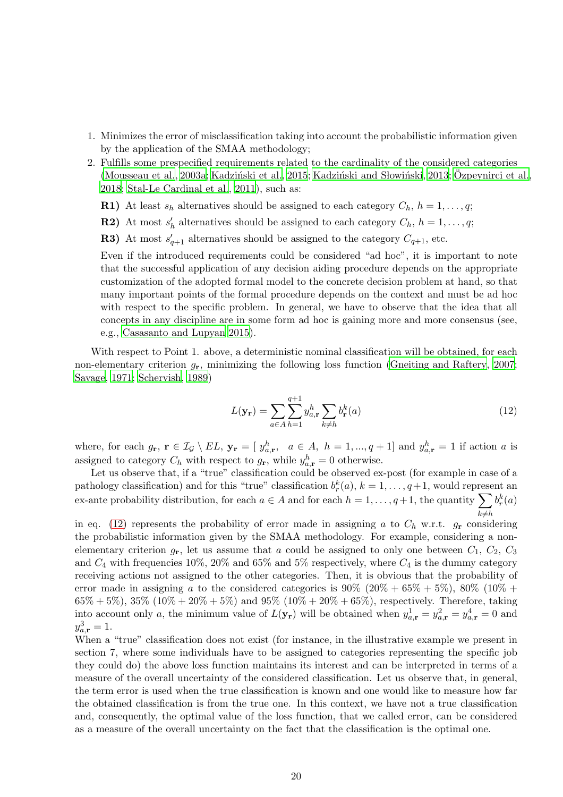- 1. Minimizes the error of misclassification taking into account the probabilistic information given by the application of the SMAA methodology;
- 2. Fulfills some prespecified requirements related to the cardinality of the considered categories [\(Mousseau et al., 2003a;](#page-30-11) Kadziński et al., [2015](#page-30-12); Kadziński and Słowiński, 2013; Özpeynirci et al., [2018](#page-30-14); [Stal-Le Cardinal et al., 2011](#page-31-10)), such as:
	- R1) At least  $s_h$  alternatives should be assigned to each category  $C_h$ ,  $h = 1, \ldots, q$ ;
	- **R2**) At most  $s'_h$  alternatives should be assigned to each category  $C_h$ ,  $h = 1, \ldots, q$ ;
	- **R3)** At most  $s'_{q+1}$  alternatives should be assigned to the category  $C_{q+1}$ , etc.

Even if the introduced requirements could be considered "ad hoc", it is important to note that the successful application of any decision aiding procedure depends on the appropriate customization of the adopted formal model to the concrete decision problem at hand, so that many important points of the formal procedure depends on the context and must be ad hoc with respect to the specific problem. In general, we have to observe that the idea that all concepts in any discipline are in some form ad hoc is gaining more and more consensus (see, e.g., [Casasanto and Lupyan 2015\)](#page-29-13).

With respect to Point 1. above, a deterministic nominal classification will be obtained, for each non-elementary criterion  $g_{\mathbf{r}}$ , minimizing the following loss function [\(Gneiting and Raftery](#page-29-14), [2007;](#page-29-14) [Savage](#page-30-15), [1971;](#page-30-15) [Schervish](#page-31-11), [1989\)](#page-31-11)

<span id="page-19-0"></span>
$$
L(\mathbf{y_r}) = \sum_{a \in A} \sum_{h=1}^{q+1} y_{a,\mathbf{r}}^h \sum_{k \neq h} b_{\mathbf{r}}^k(a)
$$
\n(12)

where, for each  $g_{\mathbf{r}}, \mathbf{r} \in \mathcal{I}_{\mathcal{G}} \setminus EL$ ,  $\mathbf{y}_{\mathbf{r}} = [y_{a,\mathbf{r}}^h, a \in A, h = 1, ..., q+1]$  and  $y_{a,\mathbf{r}}^h = 1$  if action a is assigned to category  $C_h$  with respect to  $g_{\mathbf{r}}$ , while  $y_{a,\mathbf{r}}^h = 0$  otherwise.

Let us observe that, if a "true" classification could be observed ex-post (for example in case of a pathology classification) and for this "true" classification  $b_r^k(a)$ ,  $k = 1, \ldots, q+1$ , would represent an ex-ante probability distribution, for each  $a \in A$  and for each  $h = 1, \ldots, q+1$ , the quantity  $\sum$  $k{\neq}h$  $b_r^k(a)$ 

in eq. [\(12\)](#page-19-0) represents the probability of error made in assigning a to  $C_h$  w.r.t.  $g_r$  considering the probabilistic information given by the SMAA methodology. For example, considering a nonelementary criterion  $g_{\mathbf{r}}$ , let us assume that a could be assigned to only one between  $C_1, C_2, C_3$ and  $C_4$  with frequencies 10%, 20% and 65% and 5% respectively, where  $C_4$  is the dummy category receiving actions not assigned to the other categories. Then, it is obvious that the probability of error made in assigning a to the considered categories is  $90\%$   $(20\% + 65\% + 5\%)$ ,  $80\%$   $(10\% +$  $65\% + 5\%$ ,  $35\%$   $(10\% + 20\% + 5\%)$  and  $95\%$   $(10\% + 20\% + 65\%)$ , respectively. Therefore, taking into account only a, the minimum value of  $L(\mathbf{y_r})$  will be obtained when  $y_{a,\mathbf{r}}^1 = y_{a,\mathbf{r}}^2 = y_{a,\mathbf{r}}^4 = 0$  and  $y_{a,\mathbf{r}}^3 = 1.$ 

When a "true" classification does not exist (for instance, in the illustrative example we present in section 7, where some individuals have to be assigned to categories representing the specific job they could do) the above loss function maintains its interest and can be interpreted in terms of a measure of the overall uncertainty of the considered classification. Let us observe that, in general, the term error is used when the true classification is known and one would like to measure how far the obtained classification is from the true one. In this context, we have not a true classification and, consequently, the optimal value of the loss function, that we called error, can be considered as a measure of the overall uncertainty on the fact that the classification is the optimal one.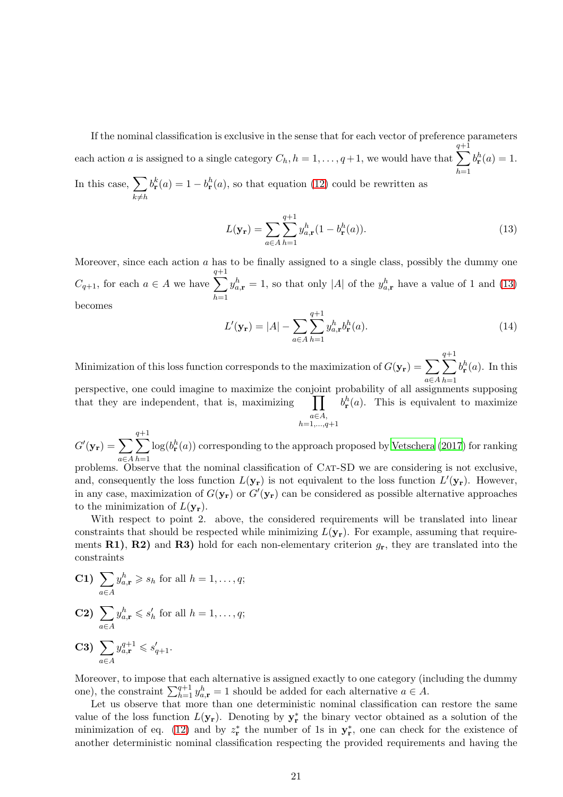If the nominal classification is exclusive in the sense that for each vector of preference parameters each action a is assigned to a single category  $C_h$ ,  $h = 1, \ldots, q+1$ , we would have that  $\sum$  $q+1$  $h=1$  $b_{\mathbf{r}}^{h}(a)=1.$ 

In this case,  $\sum$  $k \neq h$  $b_{\mathbf{r}}^{k}(a) = 1 - b_{\mathbf{r}}^{h}(a)$ , so that equation [\(12\)](#page-19-0) could be rewritten as

<span id="page-20-0"></span>
$$
L(\mathbf{y_r}) = \sum_{a \in A} \sum_{h=1}^{q+1} y_{a,r}^h (1 - b_{\mathbf{r}}^h(a)).
$$
\n(13)

Moreover, since each action  $a$  has to be finally assigned to a single class, possibly the dummy one  $C_{q+1}$ , for each  $a \in A$  we have  $\sum$  $q+1$  $_{h=1}$  $y_{a,\mathbf{r}}^h = 1$ , so that only |A| of the  $y_{a,\mathbf{r}}^h$  have a value of 1 and [\(13\)](#page-20-0) becomes

$$
L'(\mathbf{y_r}) = |A| - \sum_{a \in A} \sum_{h=1}^{q+1} y_{a,\mathbf{r}}^h b_{\mathbf{r}}^h(a). \tag{14}
$$

Minimization of this loss function corresponds to the maximization of  $G(\mathbf{y_r}) = \sum$ a∈A  $\sum$  $q+1$  $h=1$  $b_{\mathbf{r}}^{h}(a)$ . In this

perspective, one could imagine to maximize the conjoint probability of all assignments supposing that they are independent, that is, maximizing a∈A,  $h=1,...,q+1$  $b_{\mathbf{r}}^{h}(a)$ . This is equivalent to maximize

 $G'(\mathbf{y_r}) = \sum$ a∈A  $\sum$  $q+1$  $h=1$  $\log(b_{\mathbf{r}}^h(a))$  corresponding to the approach proposed by [Vetschera \(2017](#page-31-9)) for ranking problems. Observe that the nominal classification of Cat-SD we are considering is not exclusive,

and, consequently the loss function  $L(\mathbf{y_r})$  is not equivalent to the loss function  $L'(\mathbf{y_r})$ . However, in any case, maximization of  $G(\mathbf{y_r})$  or  $G'(\mathbf{y_r})$  can be considered as possible alternative approaches to the minimization of  $L(\mathbf{y}_r)$ .

With respect to point 2. above, the considered requirements will be translated into linear constraints that should be respected while minimizing  $L(\mathbf{y}_r)$ . For example, assuming that requirements R1), R2) and R3) hold for each non-elementary criterion  $g_{\rm r}$ , they are translated into the constraints

$$
C1) \sum_{a \in A} y_{a,r}^h \geqslant s_h \text{ for all } h = 1, \ldots, q;
$$

$$
\textbf{C2)}\ \sum_{a\in A} y_{a,\mathbf{r}}^h \leqslant s_h'\text{ for all }h=1,\ldots,q;
$$

$$
C3) \sum_{a \in A} y_{a,r}^{q+1} \leqslant s'_{q+1}.
$$

Moreover, to impose that each alternative is assigned exactly to one category (including the dummy one), the constraint  $\sum_{h=1}^{q+1} y_{a,\mathbf{r}}^h = 1$  should be added for each alternative  $a \in A$ .

Let us observe that more than one deterministic nominal classification can restore the same value of the loss function  $L(\mathbf{y}_r)$ . Denoting by  $\mathbf{y}_r^*$  the binary vector obtained as a solution of the minimization of eq. [\(12\)](#page-19-0) and by  $z_r^*$  the number of 1s in  $y_r^*$ , one can check for the existence of another deterministic nominal classification respecting the provided requirements and having the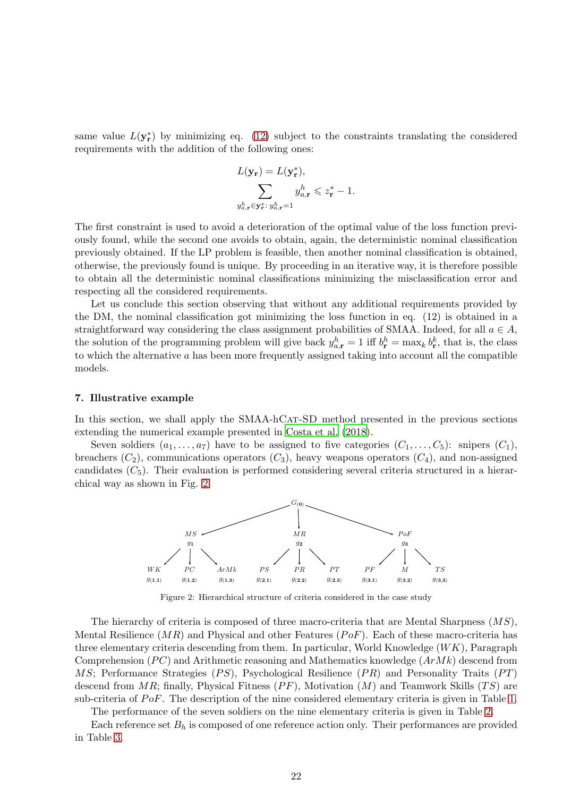same value  $L(\mathbf{y}_r^*)$  by minimizing eq. [\(12\)](#page-19-0) subject to the constraints translating the considered requirements with the addition of the following ones:

$$
L(\mathbf{y_r}) = L(\mathbf{y_r^*}),
$$
  

$$
\sum_{y_{a,\mathbf{r}}^h \in \mathbf{y_r^*}: y_{a,\mathbf{r}}^h = 1} y_{a,\mathbf{r}}^h \le z_{\mathbf{r}}^* - 1.
$$

The first constraint is used to avoid a deterioration of the optimal value of the loss function previously found, while the second one avoids to obtain, again, the deterministic nominal classification previously obtained. If the LP problem is feasible, then another nominal classification is obtained, otherwise, the previously found is unique. By proceeding in an iterative way, it is therefore possible to obtain all the deterministic nominal classifications minimizing the misclassification error and respecting all the considered requirements.

Let us conclude this section observing that without any additional requirements provided by the DM, the nominal classification got minimizing the loss function in eq. (12) is obtained in a straightforward way considering the class assignment probabilities of SMAA. Indeed, for all  $a \in A$ , the solution of the programming problem will give back  $y_{a,\mathbf{r}}^h = 1$  iff  $b_{\mathbf{r}}^h = \max_k b_{\mathbf{r}}^k$ , that is, the class to which the alternative  $a$  has been more frequently assigned taking into account all the compatible models.

#### <span id="page-21-0"></span>7. Illustrative example

In this section, we shall apply the SMAA-hCAT-SD method presented in the previous sections extending the numerical example presented in [Costa et al. \(2018](#page-29-4)).

<span id="page-21-1"></span>Seven soldiers  $(a_1, \ldots, a_7)$  have to be assigned to five categories  $(C_1, \ldots, C_5)$ : snipers  $(C_1)$ , breachers  $(C_2)$ , communications operators  $(C_3)$ , heavy weapons operators  $(C_4)$ , and non-assigned candidates  $(C_5)$ . Their evaluation is performed considering several criteria structured in a hierarchical way as shown in Fig. [2.](#page-21-1)



Figure 2: Hierarchical structure of criteria considered in the case study

The hierarchy of criteria is composed of three macro-criteria that are Mental Sharpness  $(MS)$ , Mental Resilience  $(MR)$  and Physical and other Features  $(PoF)$ . Each of these macro-criteria has three elementary criteria descending from them. In particular, World Knowledge  $(WK)$ , Paragraph Comprehension ( $PC$ ) and Arithmetic reasoning and Mathematics knowledge  $(ArMk)$  descend from MS; Performance Strategies  $(PS)$ , Psychological Resilience  $(PR)$  and Personality Traits  $(PT)$ descend from  $MR$ ; finally, Physical Fitness  $(PF)$ , Motivation  $(M)$  and Teamwork Skills  $(TS)$  are sub-criteria of  $PoF$ . The description of the nine considered elementary criteria is given in Table [1.](#page-22-0)

The performance of the seven soldiers on the nine elementary criteria is given in Table [2.](#page-22-1)

Each reference set  $B_h$  is composed of one reference action only. Their performances are provided in Table [3.](#page-22-2)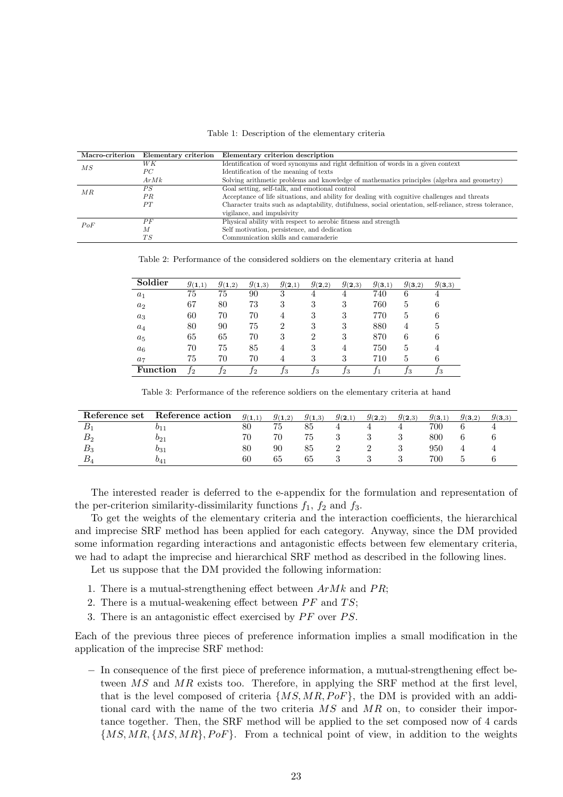#### Table 1: Description of the elementary criteria

<span id="page-22-0"></span>

| Macro-criterion | Elementary criterion | Elementary criterion description                                                                         |
|-----------------|----------------------|----------------------------------------------------------------------------------------------------------|
| $\overline{MS}$ | WК                   | Identification of word synonyms and right definition of words in a given context                         |
|                 | $_{PC}$              | Identification of the meaning of texts                                                                   |
|                 | ArMk                 | Solving arithmetic problems and knowledge of mathematics principles (algebra and geometry)               |
| MR              | PS                   | Goal setting, self-talk, and emotional control                                                           |
|                 | PR                   | Acceptance of life situations, and ability for dealing with cognitive challenges and threats             |
|                 | PT                   | Character traits such as adaptability, dutifulness, social orientation, self-reliance, stress tolerance, |
|                 |                      | vigilance, and impulsivity                                                                               |
| PoF             | PF                   | Physical ability with respect to aerobic fitness and strength                                            |
|                 | М                    | Self motivation, persistence, and dedication                                                             |
|                 | ТS                   | Communication skills and camaraderie                                                                     |

<span id="page-22-1"></span>Table 2: Performance of the considered soldiers on the elementary criteria at hand

| Soldier         | $g_{(1,1)}$ | $g_{(1,2)}$ | $g_{(1,3)}$ | $g_{(2,1)}$    | $g_{(2,2)}$ | $g_{(2,3)}$ | $g_{(3,1)}$ | $g_{(3,2)}$ | $g_{(3,3)}$ |
|-----------------|-------------|-------------|-------------|----------------|-------------|-------------|-------------|-------------|-------------|
| $a_1$           | 75          | 75          | 90          | 3              | 4           | 4           | 740         | 6           | 4           |
| $a_2$           | 67          | 80          | 73          | 3              | 3           | 3           | 760         | 5           | 6           |
| $a_3$           | 60          | 70          | 70          | 4              | 3           | 3           | 770         | 5           | 6           |
| $a_4$           | 80          | 90          | 75          | $\overline{2}$ | 3           | 3           | 880         | 4           | 5           |
| $a_5$           | 65          | 65          | 70          | 3              | 2           | 3           | 870         | 6           | 6           |
| $a_6$           | 70          | 75          | 85          | 4              | 3           | 4           | 750         | 5           | 4           |
| $a_7$           | 75          | 70          | 70          | 4              | 3           | 3           | 710         | 5           | 6           |
| <b>Function</b> | J2          | 12          | T2          | Jз             | Jз          | Jз          |             | Jз          | Jз          |

Table 3: Performance of the reference soldiers on the elementary criteria at hand

<span id="page-22-2"></span>

| Reference set    | Reference action       | $g_{(1,1)}$ | $g_{(1,2)}$ | $g_{(1,3)}$ | $g_{(2,1)}$ | $g_{(2,2)}$ | $g_{(2,3)}$ | $g_{(3,1)}$ | $g_{(3,2)}$ | $g_{(3,3)}$ |
|------------------|------------------------|-------------|-------------|-------------|-------------|-------------|-------------|-------------|-------------|-------------|
|                  | $v_{11}$               | 80          | 75          | 85          |             |             |             | 700         |             |             |
| $\mathbf{D}_{2}$ | $\scriptstyle{0_{21}}$ | 70          | 70          | 75          |             |             |             | 800         |             |             |
| $D_3$            | $_{031}$               | 80          | 90          | 85          |             |             |             | 950         |             |             |
|                  | 041                    | 60          | 65          | 65          |             |             |             | 700         |             |             |

The interested reader is deferred to the e-appendix for the formulation and representation of the per-criterion similarity-dissimilarity functions  $f_1$ ,  $f_2$  and  $f_3$ .

To get the weights of the elementary criteria and the interaction coefficients, the hierarchical and imprecise SRF method has been applied for each category. Anyway, since the DM provided some information regarding interactions and antagonistic effects between few elementary criteria, we had to adapt the imprecise and hierarchical SRF method as described in the following lines.

Let us suppose that the DM provided the following information:

- 1. There is a mutual-strengthening effect between  $ArMk$  and  $PR$ ;
- 2. There is a mutual-weakening effect between  $PF$  and  $TS$ ;
- 3. There is an antagonistic effect exercised by  $PF$  over  $PS$ .

Each of the previous three pieces of preference information implies a small modification in the application of the imprecise SRF method:

− In consequence of the first piece of preference information, a mutual-strengthening effect between MS and MR exists too. Therefore, in applying the SRF method at the first level, that is the level composed of criteria  $\{MS, MR, PoF\}$ , the DM is provided with an additional card with the name of the two criteria MS and MR on, to consider their importance together. Then, the SRF method will be applied to the set composed now of 4 cards  $\{MS, MR, \{MS, MR\}, PoF\}$ . From a technical point of view, in addition to the weights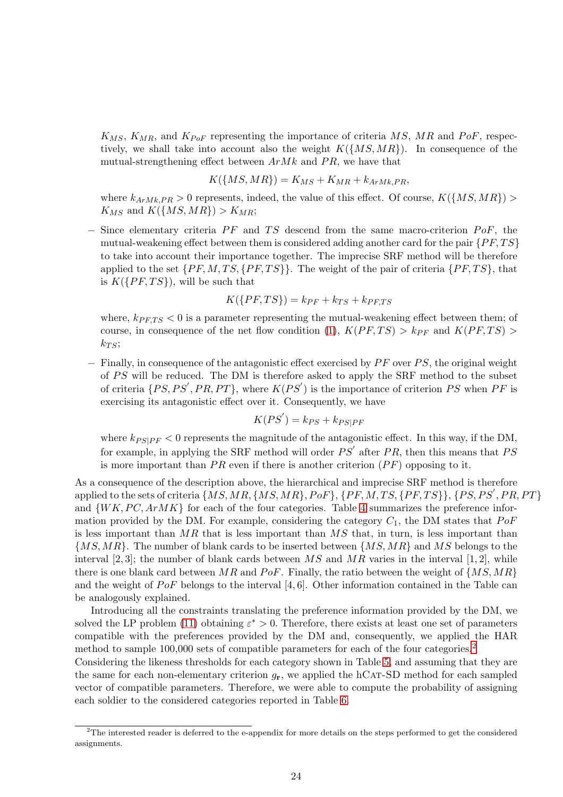$K_{MS}$ ,  $K_{MR}$ , and  $K_{PoF}$  representing the importance of criteria MS, MR and PoF, respectively, we shall take into account also the weight  $K(\{MS, MR\})$ . In consequence of the mutual-strengthening effect between  $ArMk$  and PR, we have that

$$
K(\lbrace MS, MR \rbrace) = K_{MS} + K_{MR} + k_{ArMk,PR},
$$

where  $k_{ArMk,PR} > 0$  represents, indeed, the value of this effect. Of course,  $K(\lbrace MS, MR \rbrace)$  $K_{MS}$  and  $K(\lbrace MS, MR \rbrace) > K_{MR};$ 

 $-$  Since elementary criteria  $PF$  and TS descend from the same macro-criterion PoF, the mutual-weakening effect between them is considered adding another card for the pair  $\{PF, TS\}$ to take into account their importance together. The imprecise SRF method will be therefore applied to the set  $\{PF, M, TS, \{PF, TS\}\}\$ . The weight of the pair of criteria  $\{PF, TS\}\$ , that is  $K(\{PF, TS\})$ , will be such that

$$
K(\{PF, TS\}) = k_{PF} + k_{TS} + k_{PF, TS}
$$

where,  $k_{PFTS} < 0$  is a parameter representing the mutual-weakening effect between them; of course, in consequence of the net flow condition [\(1\)](#page-5-0),  $K(PF, TS) > k_{PF}$  and  $K(PF, TS) >$  $k_{TS}$ ;

 $-$  Finally, in consequence of the antagonistic effect exercised by  $PF$  over  $PS$ , the original weight of PS will be reduced. The DM is therefore asked to apply the SRF method to the subset of criteria  $\{PS, PS', PR, PT\}$ , where  $K(PS')$  is the importance of criterion PS when PF is exercising its antagonistic effect over it. Consequently, we have

$$
K(PS') = k_{PS} + k_{PS|PF}
$$

where  $k_{PS|PF} < 0$  represents the magnitude of the antagonistic effect. In this way, if the DM, for example, in applying the SRF method will order  $PS'$  after  $PR$ , then this means that  $PS$ is more important than  $PR$  even if there is another criterion  $(PF)$  opposing to it.

As a consequence of the description above, the hierarchical and imprecise SRF method is therefore applied to the sets of criteria  $\{MS,MR, \{MS,MR\}, PoF\}, \{PF, M, TS, \{PF, TS\}\}, \{PS, PS', PR, PT\}$ and  $\{WK, PC, ArMK\}$  for each of the four categories. Table [4](#page-24-0) summarizes the preference information provided by the DM. For example, considering the category  $C_1$ , the DM states that  $PoF$ is less important than  $MR$  that is less important than  $MS$  that, in turn, is less important than  $\{MS, MR\}$ . The number of blank cards to be inserted between  $\{MS, MR\}$  and MS belongs to the interval [2, 3]; the number of blank cards between MS and MR varies in the interval [1, 2], while there is one blank card between MR and PoF. Finally, the ratio between the weight of  $\{MS, MR\}$ and the weight of PoF belongs to the interval [4, 6]. Other information contained in the Table can be analogously explained.

Introducing all the constraints translating the preference information provided by the DM, we solved the LP problem [\(11\)](#page-11-0) obtaining  $\varepsilon^* > 0$ . Therefore, there exists at least one set of parameters compatible with the preferences provided by the DM and, consequently, we applied the HAR method to sample 100,000 sets of compatible parameters for each of the four categories.<sup>[2](#page-23-0)</sup>

Considering the likeness thresholds for each category shown in Table [5,](#page-24-1) and assuming that they are the same for each non-elementary criterion  $g_{\mathbf{r}}$ , we applied the hCAT-SD method for each sampled vector of compatible parameters. Therefore, we were able to compute the probability of assigning each soldier to the considered categories reported in Table [6.](#page-24-2)

<span id="page-23-0"></span> $2$ The interested reader is deferred to the e-appendix for more details on the steps performed to get the considered assignments.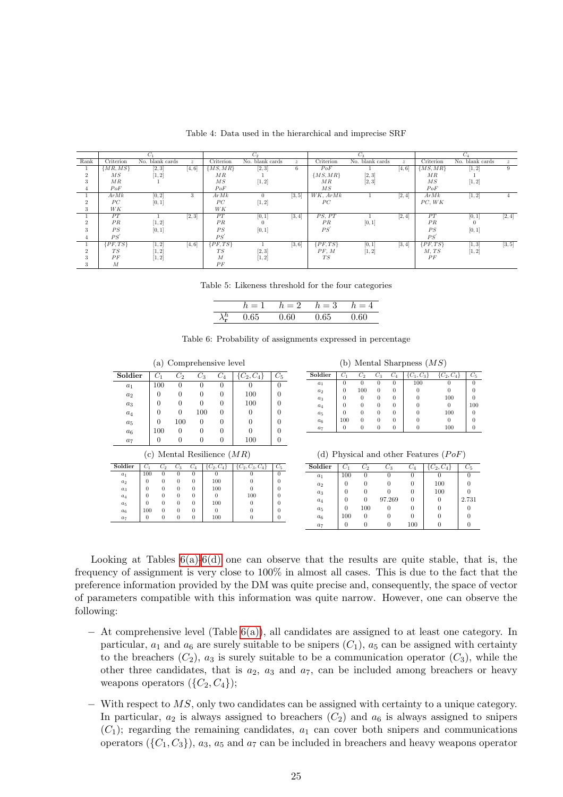<span id="page-24-0"></span>

|                 |                         | $C_1$           |                  |                  | $C_2$           |                  |                 | $C_3$              |                  |                 | $C_4$           |                  |
|-----------------|-------------------------|-----------------|------------------|------------------|-----------------|------------------|-----------------|--------------------|------------------|-----------------|-----------------|------------------|
| Rank            | Criterion               | No. blank cards | $\boldsymbol{z}$ | Criterion        | No. blank cards | $\boldsymbol{z}$ | Criterion       | No. blank cards    | $\boldsymbol{z}$ | Criterion       | No. blank cards | $\boldsymbol{z}$ |
|                 | $\{MR, \overline{MS}\}$ | [2, 3]          | [4, 6]           | MS, MR           | [2,3]           | 6                | PoF             |                    | [4, 6]           | ${MS, MR}$      | [1, 2]          | 9                |
| $\overline{2}$  | $\overline{MS}$         | [1, 2]          |                  | MR               |                 |                  | $\{MS,MR\}$     | [2, 3]             |                  | MR              |                 |                  |
| 3               | MR                      |                 |                  | $\overline{MS}$  | [1, 2]          |                  | MR              | [2, 3]             |                  | $\overline{MS}$ | [1, 2]          |                  |
| 4               | PoF                     |                 |                  | PoF              |                 |                  | $\overline{MS}$ |                    |                  | PoF             |                 |                  |
|                 | ArMk                    | [0, 2]          | 3                | ArMk             | $\Omega$        | [3, 5]           | WK, ArMk        |                    | [2, 4]           | ArMk            | [1, 2]          | 4                |
| $\overline{2}$  | PC                      | [0,1]           |                  | PC               | [1, 2]          |                  | $_{PC}$         |                    |                  | PC, WK          |                 |                  |
| $\bullet$<br>3  | WK                      |                 |                  | WK               |                 |                  |                 |                    |                  |                 |                 |                  |
|                 | PT                      |                 | [2, 3]           | PT               | [0, 1]          | [3, 4]           | PS. PT          |                    | [2, 4]           | PT              | [0,1]           | [2, 4]           |
| $\Omega$        | PR                      | [1, 2]          |                  | PR               |                 |                  | PR              | [0,1]              |                  | PR              | $\Omega$        |                  |
| $\bullet$<br>a. | PS                      | [0,1]           |                  | PS               | [0,1]           |                  | PS              |                    |                  | PS              | [0,1]           |                  |
| 4               | PS                      |                 |                  | PS               |                 |                  |                 |                    |                  | PS'             |                 |                  |
|                 | $\{PF, TS\}$            | [1, 2]          | [4, 6]           | $\{PF,TS\}$      |                 | [3, 6]           | $\{PF, TS\}$    | [0,1]              | [3, 4]           | $\{PF, TS\}$    | [1, 3]          | [3, 5]           |
| $\Omega$        | TS                      | [1, 2]          |                  | TS               | [2, 3]          |                  | PF, M           | $\left[1,2\right]$ |                  | M, TS           | [1, 2]          |                  |
| 3               | PF                      | [1, 2]          |                  | $\boldsymbol{M}$ | [1, 2]          |                  | $T_{S}$         |                    |                  | PF              |                 |                  |
| 3               | М                       |                 |                  | PF               |                 |                  |                 |                    |                  |                 |                 |                  |

Table 4: Data used in the hierarchical and imprecise SRF

Table 5: Likeness threshold for the four categories

|                               | $h = 1$ $h = 2$ $h = 3$ $h = 4$ |      |      |
|-------------------------------|---------------------------------|------|------|
| $\lambda_{\bf r}^h$ 0.65 0.60 |                                 | 0.65 | 0.60 |

<span id="page-24-3"></span><span id="page-24-2"></span><span id="page-24-1"></span>

| (a) Comprehensive level |          |          |          |          |                              |                     |          |  |  |  |  |
|-------------------------|----------|----------|----------|----------|------------------------------|---------------------|----------|--|--|--|--|
| Soldier                 |          | $C_1$    | $C_2$    | $C_3$    | $C_4$                        | $\{C_2, C_4\}$      | $C_5$    |  |  |  |  |
| $a_1$                   |          | 100      | 0        | 0        | 0                            | 0                   | 0        |  |  |  |  |
| a <sub>2</sub>          |          | 0        | 0        | 0        | 0                            | 100                 | $\theta$ |  |  |  |  |
| $a_3$                   |          | 0        | 0        | 0        | 0                            | 100                 | $\Omega$ |  |  |  |  |
| $a_4$                   |          | 0        | 0        | 100      | 0                            | O                   | $\theta$ |  |  |  |  |
| $a_5$                   |          | 0        | 100      | $\Omega$ | 0                            | 0                   | 0        |  |  |  |  |
| a <sub>6</sub>          |          | 100      | $\theta$ | 0        | 0                            |                     | 0        |  |  |  |  |
| $a_7$                   |          | 0        | 0        | 0        | 0                            | 100                 | $\theta$ |  |  |  |  |
|                         |          |          |          |          | (c) Mental Resilience $(MR)$ |                     |          |  |  |  |  |
| Soldier                 | $C_1$    | $C_2$    | $C_3$    | $C_4$    | $\{C_2, C_4\}$               | $\{C_2, C_3, C_4\}$ | $C_5$    |  |  |  |  |
| a <sub>1</sub>          | 100      | $\theta$ | $\Omega$ | $\theta$ | $\Omega$                     | 0                   | $\theta$ |  |  |  |  |
| a <sub>2</sub>          | 0        | $\Omega$ | $\Omega$ | $\theta$ | 100                          | 0                   | $\Omega$ |  |  |  |  |
| $a_3$                   | 0        | $\Omega$ | $\Omega$ | $\theta$ | 100                          | $\Omega$            | $\Omega$ |  |  |  |  |
| a <sub>4</sub>          | $\theta$ | $\Omega$ | $\Omega$ | $\theta$ | $\Omega$                     | 100                 | 0        |  |  |  |  |
| $a_5$                   | $\Omega$ | $\Omega$ | $\Omega$ | $\theta$ | 100                          | $\Omega$            | $\Omega$ |  |  |  |  |
| a <sub>6</sub>          | 100      | $\Omega$ | $\Omega$ | $\theta$ | $\Omega$                     | $\Omega$            | $\Omega$ |  |  |  |  |
| $a_7$                   | 0        | $\Omega$ | $\theta$ | $\bf{0}$ | 100                          | $\theta$            | 0        |  |  |  |  |

(b) Mental Sharpness  $(MS)$ 

| Soldier | U1  | $C_2$    | $\scriptstyle{C_3}$ | C4       |     | $C_2, C_4$ |     |
|---------|-----|----------|---------------------|----------|-----|------------|-----|
| $a_1$   | O   | 0        | 0                   | 0        | 100 | u          |     |
| $a_2$   | 0   | 100      | 0                   | 0        |     |            |     |
| $a_3$   |     | $^{(1)}$ | 0                   | $^{(1)}$ |     | 100        |     |
| $a_4$   | 0   | 0        | 0                   | $^{(1)}$ |     | 0          | 100 |
| $a_5$   |     | 0        | 0                   | $^{(1)}$ |     | 100        |     |
| $a_6$   | 100 | 0        | 0                   | 0        |     | 0          |     |
| $a_7$   |     |          | 0                   | U        |     | 100        |     |

(d) Physical and other Features  $(PoF)$ 

<span id="page-24-4"></span>

| Soldier | G1  | U2       | - 3    | U4  | $\{C_{2}, C_{4}\}$ | U5    |
|---------|-----|----------|--------|-----|--------------------|-------|
| $a_1$   | 100 |          |        |     |                    |       |
| $a_2$   |     |          |        |     | 100                |       |
| $a_3$   |     |          |        |     | 100                |       |
| $a_4$   |     |          | 97.269 | 0   |                    | 2.731 |
| $a_5$   |     | 100      |        |     |                    |       |
| $a_6$   | 100 | $^{(1)}$ |        |     |                    |       |
| $a_7$   |     |          |        | 100 |                    |       |
|         |     |          |        |     |                    |       |

Looking at Tables  $6(a)-6(d)$  $6(a)-6(d)$  one can observe that the results are quite stable, that is, the frequency of assignment is very close to 100% in almost all cases. This is due to the fact that the preference information provided by the DM was quite precise and, consequently, the space of vector of parameters compatible with this information was quite narrow. However, one can observe the following:

- − At comprehensive level (Table [6\(a\)\)](#page-24-3), all candidates are assigned to at least one category. In particular,  $a_1$  and  $a_6$  are surely suitable to be snipers  $(C_1)$ ,  $a_5$  can be assigned with certainty to the breachers  $(C_2)$ ,  $a_3$  is surely suitable to be a communication operator  $(C_3)$ , while the other three candidates, that is  $a_2$ ,  $a_3$  and  $a_7$ , can be included among breachers or heavy weapons operators  $({C_2, C_4})$ ;
- − With respect to MS, only two candidates can be assigned with certainty to a unique category. In particular,  $a_2$  is always assigned to breachers  $(C_2)$  and  $a_6$  is always assigned to snipers  $(C_1)$ ; regarding the remaining candidates,  $a_1$  can cover both snipers and communications operators  $({C_1, C_3})$ ,  $a_3$ ,  $a_5$  and  $a_7$  can be included in breachers and heavy weapons operator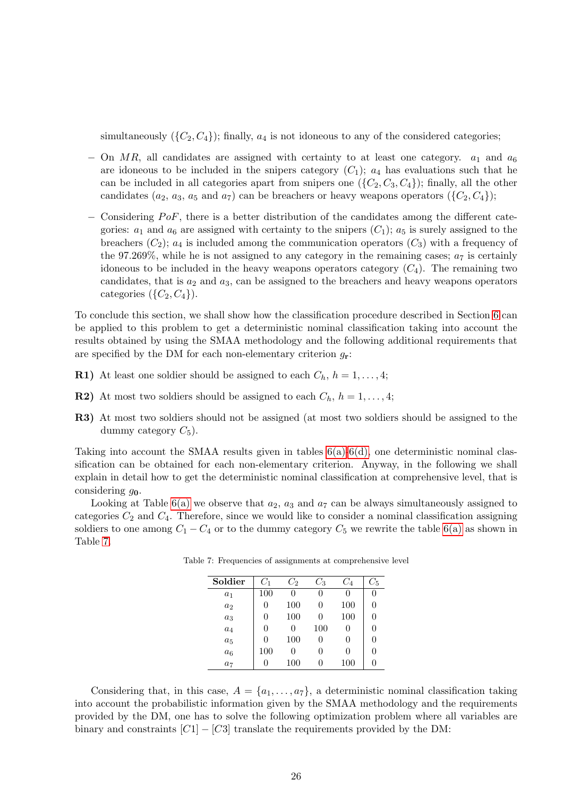simultaneously  $({C_2, C_4})$ ; finally,  $a_4$  is not idoneous to any of the considered categories;

- $-$  On MR, all candidates are assigned with certainty to at least one category.  $a_1$  and  $a_6$ are idoneous to be included in the snipers category  $(C_1)$ ;  $a_4$  has evaluations such that he can be included in all categories apart from snipers one  $({C_2, C_3, C_4})$ ; finally, all the other candidates  $(a_2, a_3, a_5 \text{ and } a_7)$  can be breachers or heavy weapons operators  $({C_2, C_4})$ ;
- $-$  Considering PoF, there is a better distribution of the candidates among the different categories:  $a_1$  and  $a_6$  are assigned with certainty to the snipers  $(C_1)$ ;  $a_5$  is surely assigned to the breachers  $(C_2)$ ;  $a_4$  is included among the communication operators  $(C_3)$  with a frequency of the 97.269%, while he is not assigned to any category in the remaining cases;  $a_7$  is certainly idoneous to be included in the heavy weapons operators category  $(C_4)$ . The remaining two candidates, that is  $a_2$  and  $a_3$ , can be assigned to the breachers and heavy weapons operators categories  $({C_2, C_4})$ .

To conclude this section, we shall show how the classification procedure described in Section [6](#page-17-1) can be applied to this problem to get a deterministic nominal classification taking into account the results obtained by using the SMAA methodology and the following additional requirements that are specified by the DM for each non-elementary criterion  $g_{\mathbf{r}}$ :

- **R1)** At least one soldier should be assigned to each  $C_h$ ,  $h = 1, \ldots, 4;$
- **R2**) At most two soldiers should be assigned to each  $C_h$ ,  $h = 1, \ldots, 4;$
- R3) At most two soldiers should not be assigned (at most two soldiers should be assigned to the dummy category  $C_5$ ).

Taking into account the SMAA results given in tables [6\(a\)](#page-24-3)[-6\(d\),](#page-24-4) one deterministic nominal classification can be obtained for each non-elementary criterion. Anyway, in the following we shall explain in detail how to get the deterministic nominal classification at comprehensive level, that is considering  $g_0$ .

<span id="page-25-0"></span>Looking at Table [6\(a\)](#page-24-3) we observe that  $a_2$ ,  $a_3$  and  $a_7$  can be always simultaneously assigned to categories  $C_2$  and  $C_4$ . Therefore, since we would like to consider a nominal classification assigning soldiers to one among  $C_1 - C_4$  or to the dummy category  $C_5$  we rewrite the table [6\(a\)](#page-24-3) as shown in Table [7.](#page-25-0)

| Soldier | $C_1$ | $C_2$        | $C_{3}$ | $\scriptstyle C_4$ | $C_{5}$ |
|---------|-------|--------------|---------|--------------------|---------|
| $a_1$   | 100   | $\mathbf{0}$ |         |                    | U       |
| $a_2$   | 0     | 100          |         | 100                | 0       |
| $a_3$   | 0     | 100          | 0       | 100                | 0       |
| $a_4$   | 0     | 0            | 100     | 0                  | 0       |
| $a_5$   | 0     | 100          | 0       |                    | 0       |
| $a_6$   | 100   | $\mathbf{0}$ |         | 0                  | 0       |
| $a_7$   | 0     | 100          |         | 100                |         |

Table 7: Frequencies of assignments at comprehensive level

Considering that, in this case,  $A = \{a_1, \ldots, a_7\}$ , a deterministic nominal classification taking into account the probabilistic information given by the SMAA methodology and the requirements provided by the DM, one has to solve the following optimization problem where all variables are binary and constraints  $[C1] - [C3]$  translate the requirements provided by the DM: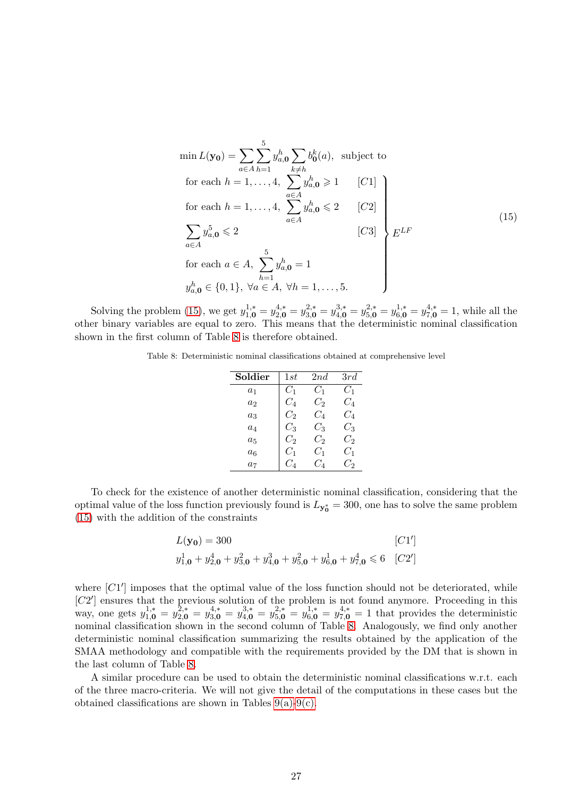<span id="page-26-0"></span>
$$
\min L(\mathbf{y_0}) = \sum_{a \in A} \sum_{h=1}^{5} y_{a,\mathbf{0}}^h \sum_{k \neq h} b_0^k(a), \text{ subject to}
$$
\n
$$
\text{for each } h = 1, \dots, 4, \sum_{a \in A} y_{a,\mathbf{0}}^h \ge 1 \qquad [C1]
$$
\n
$$
\text{for each } h = 1, \dots, 4, \sum_{a \in A} y_{a,\mathbf{0}}^h \le 2 \qquad [C2]
$$
\n
$$
\sum_{a \in A} y_{a,\mathbf{0}}^5 \le 2 \qquad [C3] \qquad E^{LF}
$$
\n
$$
\text{for each } a \in A, \sum_{h=1}^{5} y_{a,\mathbf{0}}^h = 1 \qquad y_{a,\mathbf{0}}^h \in \{0, 1\}, \forall a \in A, \forall h = 1, \dots, 5.
$$
\n
$$
(15)
$$

<span id="page-26-1"></span>Solving the problem [\(15\)](#page-26-0), we get  $y_{1,\mathbf{0}}^{1,*} = y_{2,\mathbf{0}}^{4,*} = y_{3,\mathbf{0}}^{2,*} = y_{4,\mathbf{0}}^{3,*} = y_{5,\mathbf{0}}^{2,*} = y_{6,\mathbf{0}}^{1,*} = y_{7,\mathbf{0}}^{4,*} = 1$ , while all the other binary variables are equal to zero. This means that the deterministic nominal classification shown in the first column of Table [8](#page-26-1) is therefore obtained.

Table 8: Deterministic nominal classifications obtained at comprehensive level

| Soldier        | 1st     | 2nd   | 3rd   |
|----------------|---------|-------|-------|
| $a_1$          | $C_1$   | $C_1$ | $C_1$ |
| a <sub>2</sub> | $C_A$   | $C_2$ | $C_A$ |
| $a_3$          | $C_2$   | $C_A$ | $C_A$ |
| $a_4$          | $C_3$   | $C_3$ | $C_3$ |
| $a_{5}$        | C,      | Сэ    | $C_2$ |
| $a_{6}$        | $C_1$   | $C_1$ | $C_1$ |
| a <sub>7</sub> | $C_{4}$ | $C_4$ | $C_2$ |

To check for the existence of another deterministic nominal classification, considering that the optimal value of the loss function previously found is  $L_{y_0^*} = 300$ , one has to solve the same problem [\(15\)](#page-26-0) with the addition of the constraints

$$
L(\mathbf{y_0}) = 300
$$
 [C1']  

$$
y_{1,0}^1 + y_{2,0}^4 + y_{3,0}^2 + y_{4,0}^3 + y_{5,0}^2 + y_{6,0}^1 + y_{7,0}^4 \le 6
$$
 [C2']

where [C1'] imposes that the optimal value of the loss function should not be deteriorated, while [C2'] ensures that the previous solution of the problem is not found anymore. Proceeding in this way, one gets  $y_{1,0}^{1,*} = y_{2,0}^{2,*} = y_{3,0}^{4,*} = y_{4,0}^{3,*} = y_{5,0}^{2,*} = y_{6,0}^{4,*} = y_{7,0}^{4,*} = 1$  that provides the deterministic nominal classification shown in the second column of Table [8.](#page-26-1) Analogously, we find only another deterministic nominal classification summarizing the results obtained by the application of the SMAA methodology and compatible with the requirements provided by the DM that is shown in the last column of Table [8.](#page-26-1)

A similar procedure can be used to obtain the deterministic nominal classifications w.r.t. each of the three macro-criteria. We will not give the detail of the computations in these cases but the obtained classifications are shown in Tables  $9(a)-9(c)$ .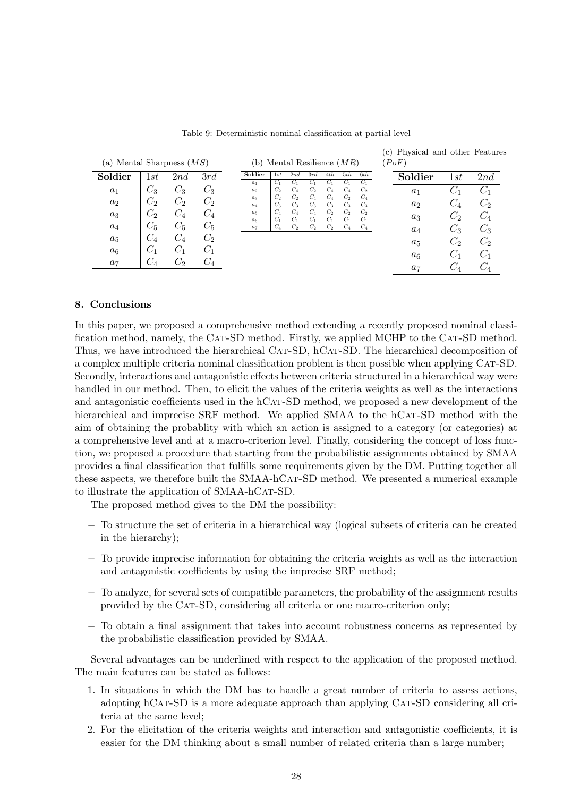<span id="page-27-1"></span>

| (a) Mental Sharpness $(MS)$ |         |         | (b) Mental Resilience $(MR)$ |                         |                |                |                |                         |                |                         | (PoF) |                |         |                    |
|-----------------------------|---------|---------|------------------------------|-------------------------|----------------|----------------|----------------|-------------------------|----------------|-------------------------|-------|----------------|---------|--------------------|
| Soldier                     | 1st     | 2nd     | 3rd                          | Soldier<br>$a_1$        | 1st<br>$C_1$   | 2nd<br>$C_1$   | 3rd<br>$C_1$   | 4th<br>$C_1$            | 5th<br>$C_1$   | 6th<br>$C_1$            |       | Soldier        | 1st     | 2nd                |
| $a_1$                       | $C_3$   | $C_3$   | U3                           | $a_2$                   | C <sub>2</sub> | $C_4$          | $C_2$          | $C_4$                   | $C_4$          | $C_2$                   |       | $a_1$          | $C_{1}$ | $C_1$              |
| $a_2$                       | じっ      | $C_2$   | $C_2$                        | $a_3$<br>$a_4$          | $C_2$<br>$C_3$ | $C_2$<br>$C_3$ | $C_4$<br>$C_3$ | $C_4$<br>$C_3$          | $C_2$<br>$C_3$ | $C_4$<br>$C_3$          |       | a <sub>2</sub> | $C_4$   | Uэ.                |
| $a_3$                       | しっ      | $C_4$   | $C_{4}$                      | $a_5$<br>a <sub>6</sub> | $C_4$<br>$C_1$ | $C_4$<br>$C_1$ | $C_4$<br>$C_1$ | C <sub>2</sub><br>$C_1$ | $C_2$<br>$C_1$ | C <sub>2</sub><br>$C_1$ |       | $a_3$          | С,      | $C_4$              |
| $a_4$                       | $C_{5}$ | $C_5$   | $C_5$                        | a <sub>7</sub>          | $C_4$          | $C_2$          | $C_2$          | $C_2$                   | $C_4$          | $C_4$                   |       | $a_4$          | $C_3$   | $\scriptstyle C_3$ |
| $a_5$                       | $C_4$   | $C_{4}$ | $C_2$                        |                         |                |                |                |                         |                |                         |       | $a_5$          | $C_2$   | $C_2$              |
| $a_6$                       | U1      | $C_1$   | $C_1$                        |                         |                |                |                |                         |                |                         |       | $a_6$          | $C_1$   | $C_1$              |
| $a_7$                       | U4      | $C_{2}$ | U4                           |                         |                |                |                |                         |                |                         |       | a <sub>7</sub> | U4      |                    |

Table 9: Deterministic nominal classification at partial level

<span id="page-27-2"></span>(c) Physical and other Features

## <span id="page-27-0"></span>8. Conclusions

In this paper, we proposed a comprehensive method extending a recently proposed nominal classification method, namely, the CAT-SD method. Firstly, we applied MCHP to the CAT-SD method. Thus, we have introduced the hierarchical CAT-SD, hCAT-SD. The hierarchical decomposition of a complex multiple criteria nominal classification problem is then possible when applying CAT-SD. Secondly, interactions and antagonistic effects between criteria structured in a hierarchical way were handled in our method. Then, to elicit the values of the criteria weights as well as the interactions and antagonistic coefficients used in the hCAT-SD method, we proposed a new development of the hierarchical and imprecise SRF method. We applied SMAA to the hCAT-SD method with the aim of obtaining the probablity with which an action is assigned to a category (or categories) at a comprehensive level and at a macro-criterion level. Finally, considering the concept of loss function, we proposed a procedure that starting from the probabilistic assignments obtained by SMAA provides a final classification that fulfills some requirements given by the DM. Putting together all these aspects, we therefore built the SMAA-hCat-SD method. We presented a numerical example to illustrate the application of SMAA-hCAT-SD.

The proposed method gives to the DM the possibility:

- − To structure the set of criteria in a hierarchical way (logical subsets of criteria can be created in the hierarchy);
- − To provide imprecise information for obtaining the criteria weights as well as the interaction and antagonistic coefficients by using the imprecise SRF method;
- − To analyze, for several sets of compatible parameters, the probability of the assignment results provided by the Cat-SD, considering all criteria or one macro-criterion only;
- − To obtain a final assignment that takes into account robustness concerns as represented by the probabilistic classification provided by SMAA.

Several advantages can be underlined with respect to the application of the proposed method. The main features can be stated as follows:

- 1. In situations in which the DM has to handle a great number of criteria to assess actions, adopting hCat-SD is a more adequate approach than applying Cat-SD considering all criteria at the same level;
- 2. For the elicitation of the criteria weights and interaction and antagonistic coefficients, it is easier for the DM thinking about a small number of related criteria than a large number;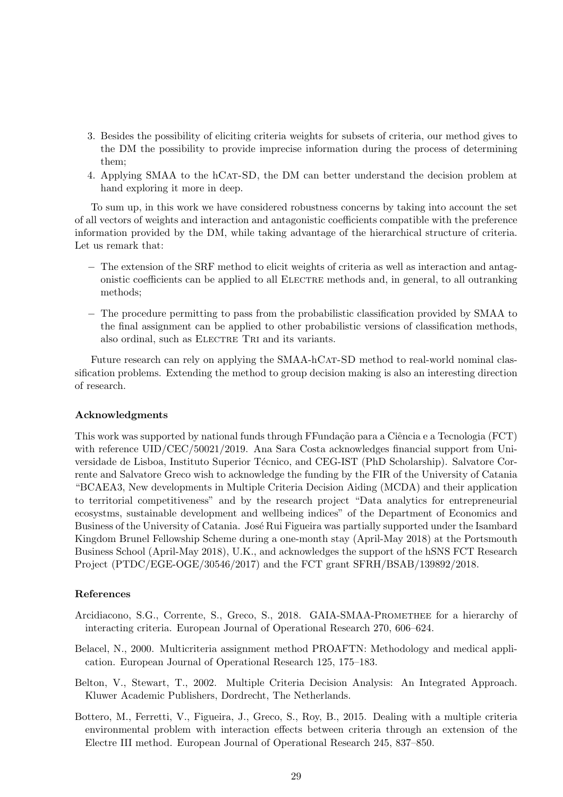- 3. Besides the possibility of eliciting criteria weights for subsets of criteria, our method gives to the DM the possibility to provide imprecise information during the process of determining them;
- 4. Applying SMAA to the hCat-SD, the DM can better understand the decision problem at hand exploring it more in deep.

To sum up, in this work we have considered robustness concerns by taking into account the set of all vectors of weights and interaction and antagonistic coefficients compatible with the preference information provided by the DM, while taking advantage of the hierarchical structure of criteria. Let us remark that:

- − The extension of the SRF method to elicit weights of criteria as well as interaction and antagonistic coefficients can be applied to all Electre methods and, in general, to all outranking methods;
- − The procedure permitting to pass from the probabilistic classification provided by SMAA to the final assignment can be applied to other probabilistic versions of classification methods, also ordinal, such as ELECTRE TRI and its variants.

Future research can rely on applying the SMAA-hCAT-SD method to real-world nominal classification problems. Extending the method to group decision making is also an interesting direction of research.

# Acknowledgments

This work was supported by national funds through FFundação para a Ciência e a Tecnologia (FCT) with reference  $\text{UID}/\text{CEC}/50021/2019$ . Ana Sara Costa acknowledges financial support from Universidade de Lisboa, Instituto Superior Técnico, and CEG-IST (PhD Scholarship). Salvatore Corrente and Salvatore Greco wish to acknowledge the funding by the FIR of the University of Catania "BCAEA3, New developments in Multiple Criteria Decision Aiding (MCDA) and their application to territorial competitiveness" and by the research project "Data analytics for entrepreneurial ecosystms, sustainable development and wellbeing indices" of the Department of Economics and Business of the University of Catania. José Rui Figueira was partially supported under the Isambard Kingdom Brunel Fellowship Scheme during a one-month stay (April-May 2018) at the Portsmouth Business School (April-May 2018), U.K., and acknowledges the support of the hSNS FCT Research Project (PTDC/EGE-OGE/30546/2017) and the FCT grant SFRH/BSAB/139892/2018.

# References

- <span id="page-28-3"></span>Arcidiacono, S.G., Corrente, S., Greco, S., 2018. GAIA-SMAA-PROMETHEE for a hierarchy of interacting criteria. European Journal of Operational Research 270, 606–624.
- <span id="page-28-0"></span>Belacel, N., 2000. Multicriteria assignment method PROAFTN: Methodology and medical application. European Journal of Operational Research 125, 175–183.
- <span id="page-28-1"></span>Belton, V., Stewart, T., 2002. Multiple Criteria Decision Analysis: An Integrated Approach. Kluwer Academic Publishers, Dordrecht, The Netherlands.
- <span id="page-28-2"></span>Bottero, M., Ferretti, V., Figueira, J., Greco, S., Roy, B., 2015. Dealing with a multiple criteria environmental problem with interaction effects between criteria through an extension of the Electre III method. European Journal of Operational Research 245, 837–850.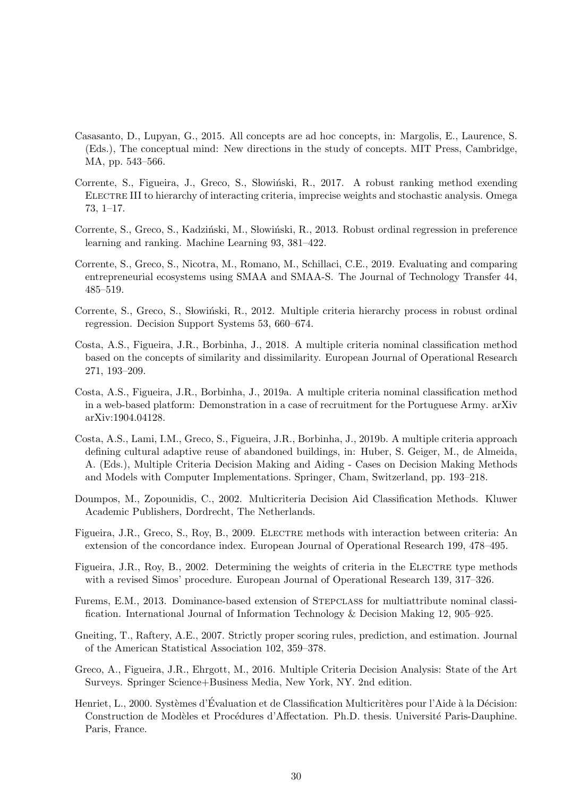- <span id="page-29-13"></span>Casasanto, D., Lupyan, G., 2015. All concepts are ad hoc concepts, in: Margolis, E., Laurence, S. (Eds.), The conceptual mind: New directions in the study of concepts. MIT Press, Cambridge, MA, pp. 543–566.
- <span id="page-29-9"></span>Corrente, S., Figueira, J., Greco, S., Słowiński, R., 2017. A robust ranking method exending Electre III to hierarchy of interacting criteria, imprecise weights and stochastic analysis. Omega 73, 1–17.
- <span id="page-29-2"></span>Corrente, S., Greco, S., Kadziński, M., Słowiński, R., 2013. Robust ordinal regression in preference learning and ranking. Machine Learning 93, 381–422.
- <span id="page-29-12"></span>Corrente, S., Greco, S., Nicotra, M., Romano, M., Schillaci, C.E., 2019. Evaluating and comparing entrepreneurial ecosystems using SMAA and SMAA-S. The Journal of Technology Transfer 44, 485–519.
- <span id="page-29-6"></span>Corrente, S., Greco, S., Słowiński, R., 2012. Multiple criteria hierarchy process in robust ordinal regression. Decision Support Systems 53, 660–674.
- <span id="page-29-4"></span>Costa, A.S., Figueira, J.R., Borbinha, J., 2018. A multiple criteria nominal classification method based on the concepts of similarity and dissimilarity. European Journal of Operational Research 271, 193–209.
- <span id="page-29-11"></span>Costa, A.S., Figueira, J.R., Borbinha, J., 2019a. A multiple criteria nominal classification method in a web-based platform: Demonstration in a case of recruitment for the Portuguese Army. arXiv arXiv:1904.04128.
- <span id="page-29-10"></span>Costa, A.S., Lami, I.M., Greco, S., Figueira, J.R., Borbinha, J., 2019b. A multiple criteria approach defining cultural adaptive reuse of abandoned buildings, in: Huber, S. Geiger, M., de Almeida, A. (Eds.), Multiple Criteria Decision Making and Aiding - Cases on Decision Making Methods and Models with Computer Implementations. Springer, Cham, Switzerland, pp. 193–218.
- <span id="page-29-1"></span>Doumpos, M., Zopounidis, C., 2002. Multicriteria Decision Aid Classification Methods. Kluwer Academic Publishers, Dordrecht, The Netherlands.
- <span id="page-29-7"></span>Figueira, J.R., Greco, S., Roy, B., 2009. ELECTRE methods with interaction between criteria: An extension of the concordance index. European Journal of Operational Research 199, 478–495.
- <span id="page-29-8"></span>Figueira, J.R., Roy, B., 2002. Determining the weights of criteria in the ELECTRE type methods with a revised Simos' procedure. European Journal of Operational Research 139, 317–326.
- <span id="page-29-3"></span>Furems, E.M., 2013. Dominance-based extension of Stepclass for multiattribute nominal classification. International Journal of Information Technology & Decision Making 12, 905–925.
- <span id="page-29-14"></span>Gneiting, T., Raftery, A.E., 2007. Strictly proper scoring rules, prediction, and estimation. Journal of the American Statistical Association 102, 359–378.
- <span id="page-29-5"></span>Greco, A., Figueira, J.R., Ehrgott, M., 2016. Multiple Criteria Decision Analysis: State of the Art Surveys. Springer Science+Business Media, New York, NY. 2nd edition.
- <span id="page-29-0"></span>Henriet, L., 2000. Systèmes d'Évaluation et de Classification Multicritères pour l'Aide à la Décision: Construction de Modèles et Procédures d'Affectation. Ph.D. thesis. Université Paris-Dauphine. Paris, France.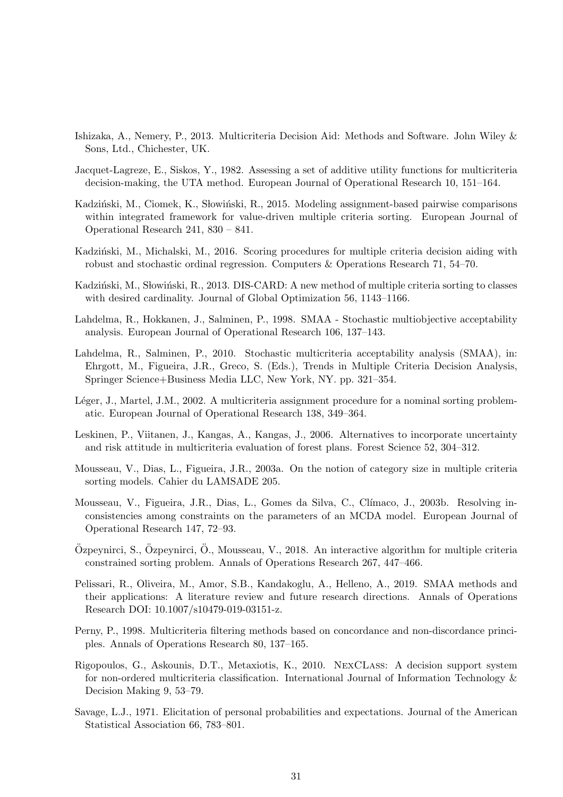- <span id="page-30-3"></span>Ishizaka, A., Nemery, P., 2013. Multicriteria Decision Aid: Methods and Software. John Wiley & Sons, Ltd., Chichester, UK.
- <span id="page-30-8"></span>Jacquet-Lagreze, E., Siskos, Y., 1982. Assessing a set of additive utility functions for multicriteria decision-making, the UTA method. European Journal of Operational Research 10, 151–164.
- <span id="page-30-12"></span>Kadziński, M., Ciomek, K., Słowiński, R., 2015. Modeling assignment-based pairwise comparisons within integrated framework for value-driven multiple criteria sorting. European Journal of Operational Research 241, 830 – 841.
- <span id="page-30-10"></span>Kadziński, M., Michalski, M., 2016. Scoring procedures for multiple criteria decision aiding with robust and stochastic ordinal regression. Computers & Operations Research 71, 54–70.
- <span id="page-30-13"></span>Kadziński, M., Słowiński, R., 2013. DIS-CARD: A new method of multiple criteria sorting to classes with desired cardinality. Journal of Global Optimization 56, 1143–1166.
- <span id="page-30-4"></span>Lahdelma, R., Hokkanen, J., Salminen, P., 1998. SMAA - Stochastic multiobjective acceptability analysis. European Journal of Operational Research 106, 137–143.
- <span id="page-30-5"></span>Lahdelma, R., Salminen, P., 2010. Stochastic multicriteria acceptability analysis (SMAA), in: Ehrgott, M., Figueira, J.R., Greco, S. (Eds.), Trends in Multiple Criteria Decision Analysis, Springer Science+Business Media LLC, New York, NY. pp. 321–354.
- <span id="page-30-1"></span>Léger, J., Martel, J.M., 2002. A multicriteria assignment procedure for a nominal sorting problematic. European Journal of Operational Research 138, 349–364.
- <span id="page-30-9"></span>Leskinen, P., Viitanen, J., Kangas, A., Kangas, J., 2006. Alternatives to incorporate uncertainty and risk attitude in multicriteria evaluation of forest plans. Forest Science 52, 304–312.
- <span id="page-30-11"></span>Mousseau, V., Dias, L., Figueira, J.R., 2003a. On the notion of category size in multiple criteria sorting models. Cahier du LAMSADE 205.
- <span id="page-30-7"></span>Mousseau, V., Figueira, J.R., Dias, L., Gomes da Silva, C., Clímaco, J., 2003b. Resolving inconsistencies among constraints on the parameters of an MCDA model. European Journal of Operational Research 147, 72–93.
- <span id="page-30-14"></span> $\ddot{O}$ zpeynirci, S.,  $\ddot{O}$ zpeynirci,  $\ddot{O}$ ., Mousseau, V., 2018. An interactive algorithm for multiple criteria constrained sorting problem. Annals of Operations Research 267, 447–466.
- <span id="page-30-6"></span>Pelissari, R., Oliveira, M., Amor, S.B., Kandakoglu, A., Helleno, A., 2019. SMAA methods and their applications: A literature review and future research directions. Annals of Operations Research DOI: 10.1007/s10479-019-03151-z.
- <span id="page-30-0"></span>Perny, P., 1998. Multicriteria filtering methods based on concordance and non-discordance principles. Annals of Operations Research 80, 137–165.
- <span id="page-30-2"></span>Rigopoulos, G., Askounis, D.T., Metaxiotis, K., 2010. NexCLass: A decision support system for non-ordered multicriteria classification. International Journal of Information Technology & Decision Making 9, 53–79.
- <span id="page-30-15"></span>Savage, L.J., 1971. Elicitation of personal probabilities and expectations. Journal of the American Statistical Association 66, 783–801.